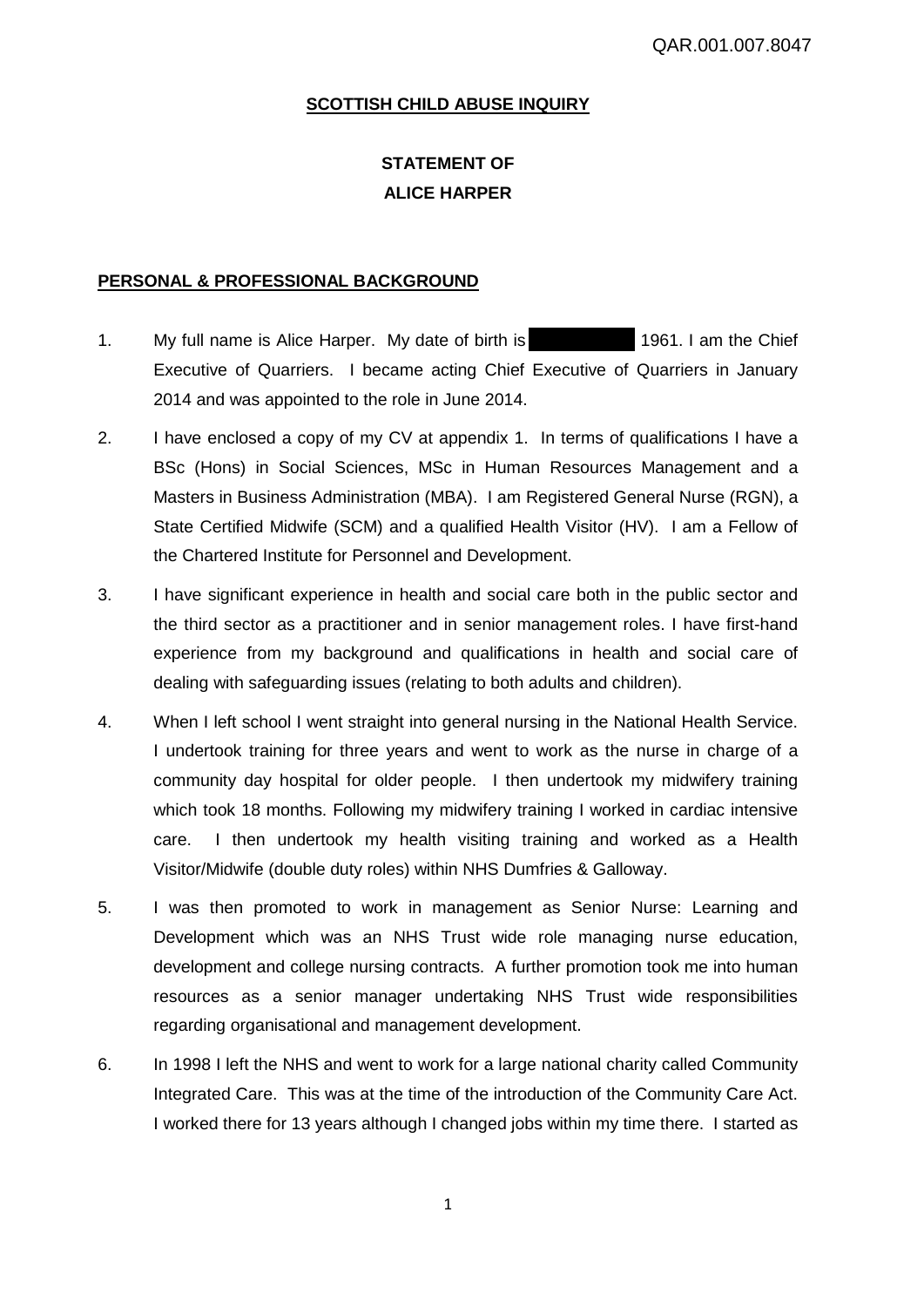# **SCOTTISH CHILD ABUSE INQUIRY**

# **STATEMENT OF ALICE HARPER**

# **PERSONAL & PROFESSIONAL BACKGROUND**

- 1. My full name is Alice Harper. My date of birth is 1961. I am the Chief Executive of Quarriers. I became acting Chief Executive of Quarriers in January 2014 and was appointed to the role in June 2014.
- 2. I have enclosed a copy of my CV at appendix 1. In terms of qualifications I have a BSc (Hons) in Social Sciences, MSc in Human Resources Management and a Masters in Business Administration (MBA). I am Registered General Nurse (RGN), a State Certified Midwife (SCM) and a qualified Health Visitor (HV). I am a Fellow of the Chartered Institute for Personnel and Development.
- 3. I have significant experience in health and social care both in the public sector and the third sector as a practitioner and in senior management roles. I have first-hand experience from my background and qualifications in health and social care of dealing with safeguarding issues (relating to both adults and children).
- 4. When I left school I went straight into general nursing in the National Health Service. I undertook training for three years and went to work as the nurse in charge of a community day hospital for older people. I then undertook my midwifery training which took 18 months. Following my midwifery training I worked in cardiac intensive care. I then undertook my health visiting training and worked as a Health Visitor/Midwife (double duty roles) within NHS Dumfries & Galloway.
- 5. I was then promoted to work in management as Senior Nurse: Learning and Development which was an NHS Trust wide role managing nurse education, development and college nursing contracts. A further promotion took me into human resources as a senior manager undertaking NHS Trust wide responsibilities regarding organisational and management development.
- 6. In 1998 I left the NHS and went to work for a large national charity called Community Integrated Care. This was at the time of the introduction of the Community Care Act. I worked there for 13 years although I changed jobs within my time there. I started as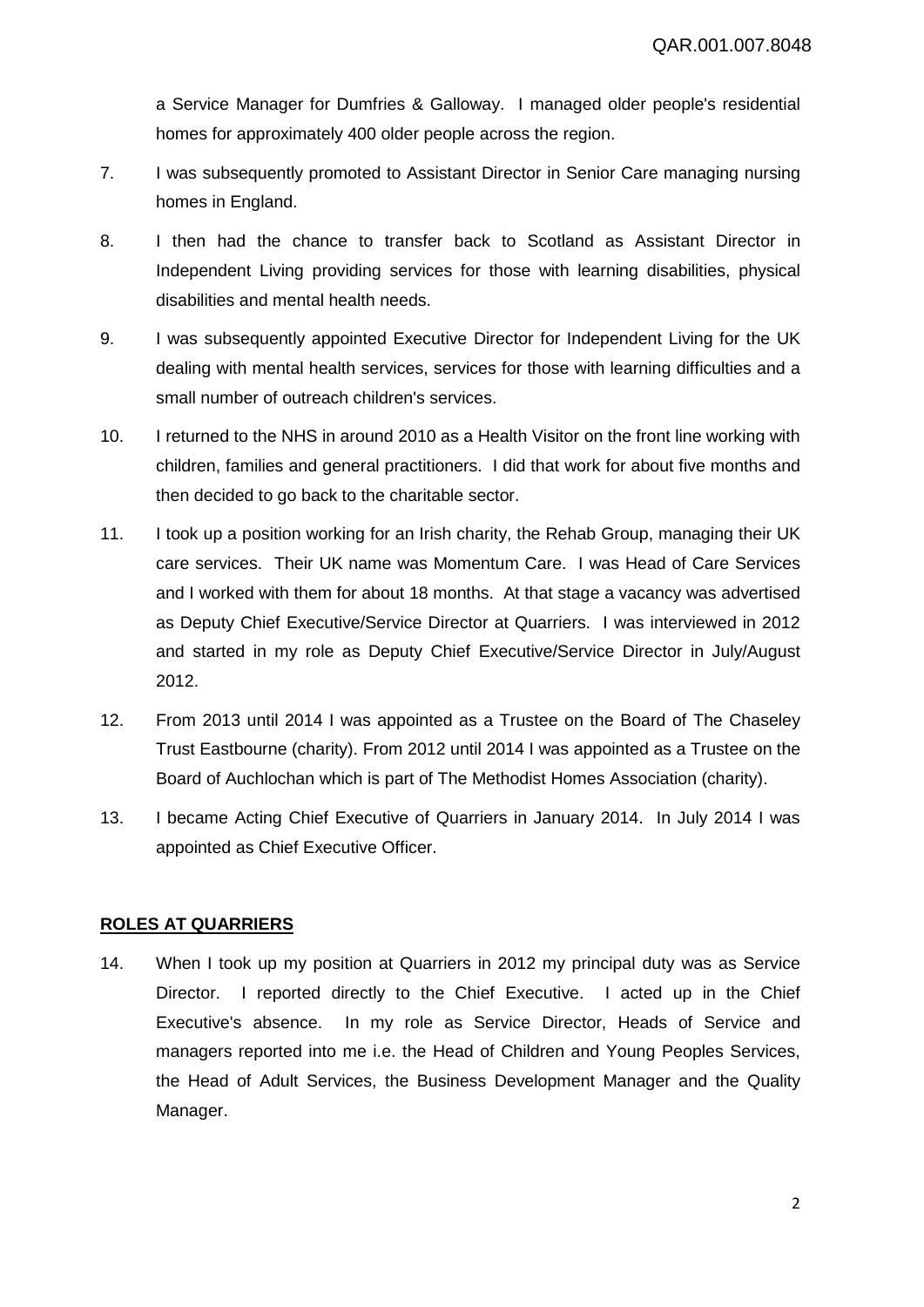a Service Manager for Dumfries & Galloway. I managed older people's residential homes for approximately 400 older people across the region.

- 7. I was subsequently promoted to Assistant Director in Senior Care managing nursing homes in England.
- 8. I then had the chance to transfer back to Scotland as Assistant Director in Independent Living providing services for those with learning disabilities, physical disabilities and mental health needs.
- 9. I was subsequently appointed Executive Director for Independent Living for the UK dealing with mental health services, services for those with learning difficulties and a small number of outreach children's services.
- 10. I returned to the NHS in around 2010 as a Health Visitor on the front line working with children, families and general practitioners. I did that work for about five months and then decided to go back to the charitable sector.
- 11. I took up a position working for an Irish charity, the Rehab Group, managing their UK care services. Their UK name was Momentum Care. I was Head of Care Services and I worked with them for about 18 months. At that stage a vacancy was advertised as Deputy Chief Executive/Service Director at Quarriers. I was interviewed in 2012 and started in my role as Deputy Chief Executive/Service Director in July/August 2012.
- 12. From 2013 until 2014 I was appointed as a Trustee on the Board of The Chaseley Trust Eastbourne (charity). From 2012 until 2014 I was appointed as a Trustee on the Board of Auchlochan which is part of The Methodist Homes Association (charity).
- 13. I became Acting Chief Executive of Quarriers in January 2014. In July 2014 I was appointed as Chief Executive Officer.

# **ROLES AT QUARRIERS**

14. When I took up my position at Quarriers in 2012 my principal duty was as Service Director. I reported directly to the Chief Executive. I acted up in the Chief Executive's absence. In my role as Service Director, Heads of Service and managers reported into me i.e. the Head of Children and Young Peoples Services, the Head of Adult Services, the Business Development Manager and the Quality Manager.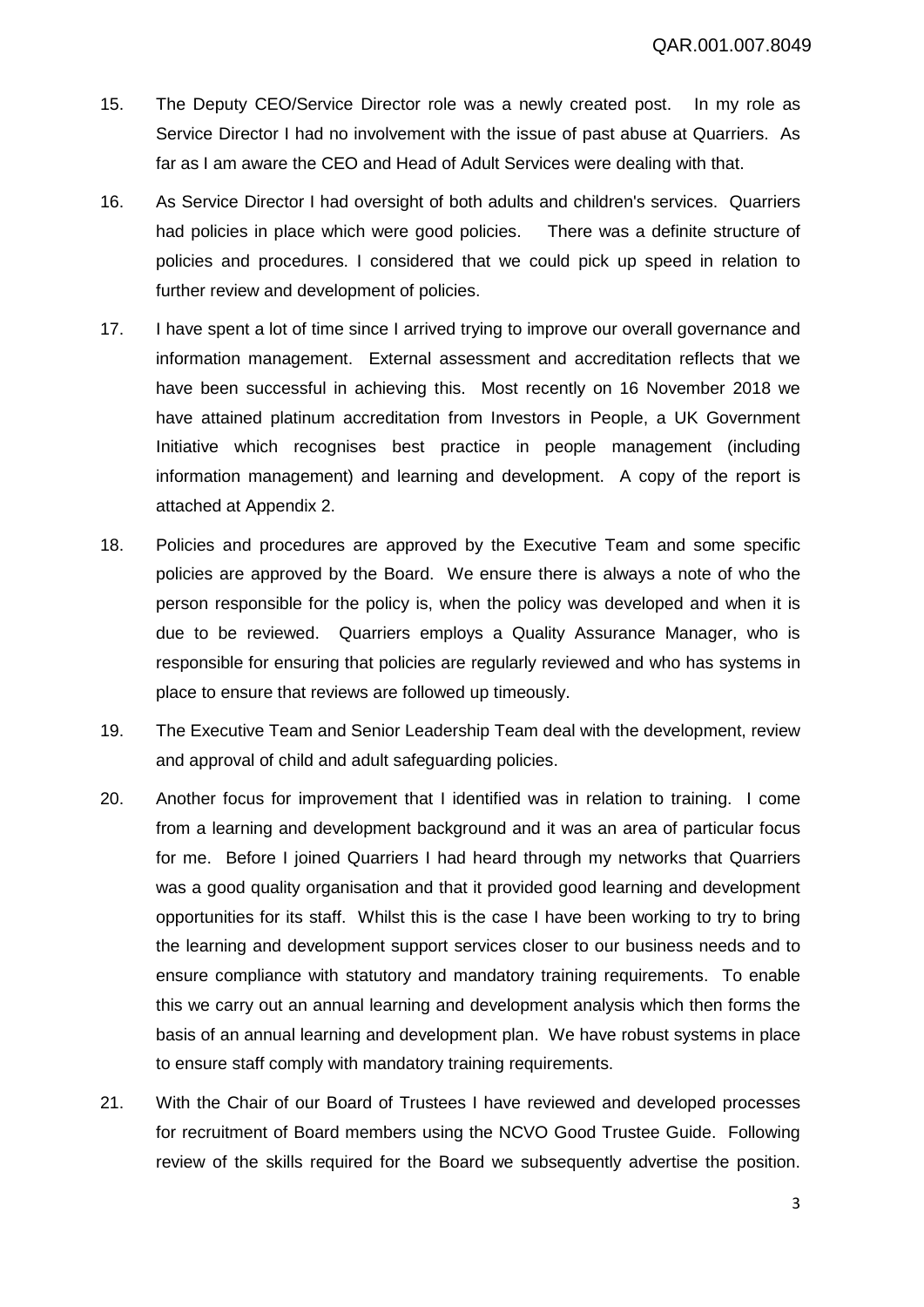- 15. The Deputy CEO/Service Director role was a newly created post. In my role as Service Director I had no involvement with the issue of past abuse at Quarriers. As far as I am aware the CEO and Head of Adult Services were dealing with that.
- 16. As Service Director I had oversight of both adults and children's services. Quarriers had policies in place which were good policies. There was a definite structure of policies and procedures. I considered that we could pick up speed in relation to further review and development of policies.
- 17. I have spent a lot of time since I arrived trying to improve our overall governance and information management. External assessment and accreditation reflects that we have been successful in achieving this. Most recently on 16 November 2018 we have attained platinum accreditation from Investors in People, a UK Government Initiative which recognises best practice in people management (including information management) and learning and development. A copy of the report is attached at Appendix 2.
- 18. Policies and procedures are approved by the Executive Team and some specific policies are approved by the Board. We ensure there is always a note of who the person responsible for the policy is, when the policy was developed and when it is due to be reviewed. Quarriers employs a Quality Assurance Manager, who is responsible for ensuring that policies are regularly reviewed and who has systems in place to ensure that reviews are followed up timeously.
- 19. The Executive Team and Senior Leadership Team deal with the development, review and approval of child and adult safeguarding policies.
- 20. Another focus for improvement that I identified was in relation to training. I come from a learning and development background and it was an area of particular focus for me. Before I joined Quarriers I had heard through my networks that Quarriers was a good quality organisation and that it provided good learning and development opportunities for its staff. Whilst this is the case I have been working to try to bring the learning and development support services closer to our business needs and to ensure compliance with statutory and mandatory training requirements. To enable this we carry out an annual learning and development analysis which then forms the basis of an annual learning and development plan. We have robust systems in place to ensure staff comply with mandatory training requirements.
- 21. With the Chair of our Board of Trustees I have reviewed and developed processes for recruitment of Board members using the NCVO Good Trustee Guide. Following review of the skills required for the Board we subsequently advertise the position.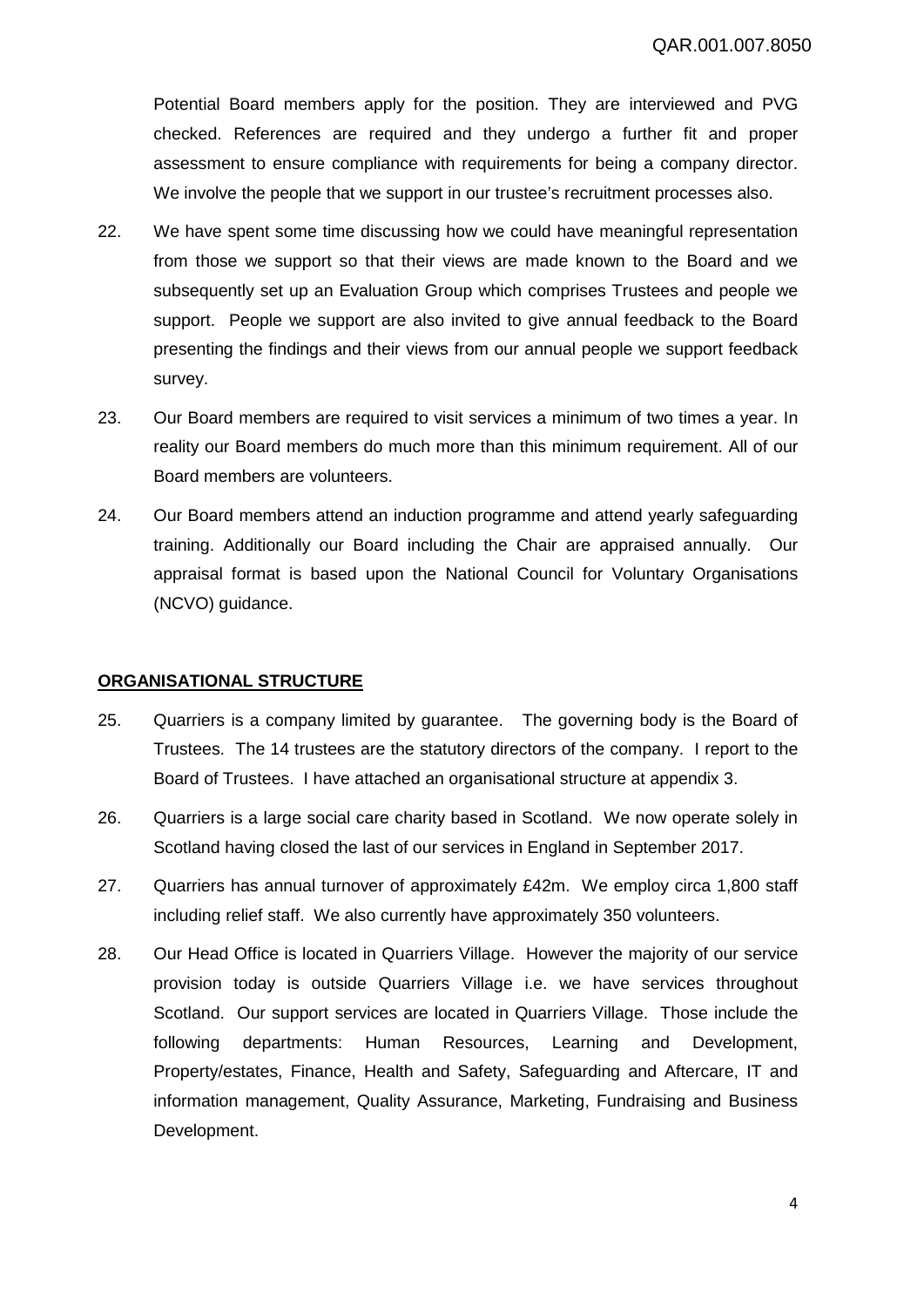Potential Board members apply for the position. They are interviewed and PVG checked. References are required and they undergo a further fit and proper assessment to ensure compliance with requirements for being a company director. We involve the people that we support in our trustee's recruitment processes also.

- 22. We have spent some time discussing how we could have meaningful representation from those we support so that their views are made known to the Board and we subsequently set up an Evaluation Group which comprises Trustees and people we support. People we support are also invited to give annual feedback to the Board presenting the findings and their views from our annual people we support feedback survey.
- 23. Our Board members are required to visit services a minimum of two times a year. In reality our Board members do much more than this minimum requirement. All of our Board members are volunteers.
- 24. Our Board members attend an induction programme and attend yearly safeguarding training. Additionally our Board including the Chair are appraised annually. Our appraisal format is based upon the National Council for Voluntary Organisations (NCVO) guidance.

# **ORGANISATIONAL STRUCTURE**

- 25. Quarriers is a company limited by guarantee. The governing body is the Board of Trustees. The 14 trustees are the statutory directors of the company. I report to the Board of Trustees. I have attached an organisational structure at appendix 3.
- 26. Quarriers is a large social care charity based in Scotland. We now operate solely in Scotland having closed the last of our services in England in September 2017.
- 27. Quarriers has annual turnover of approximately £42m. We employ circa 1,800 staff including relief staff. We also currently have approximately 350 volunteers.
- 28. Our Head Office is located in Quarriers Village. However the majority of our service provision today is outside Quarriers Village i.e. we have services throughout Scotland. Our support services are located in Quarriers Village. Those include the following departments: Human Resources, Learning and Development, Property/estates, Finance, Health and Safety, Safeguarding and Aftercare, IT and information management, Quality Assurance, Marketing, Fundraising and Business Development.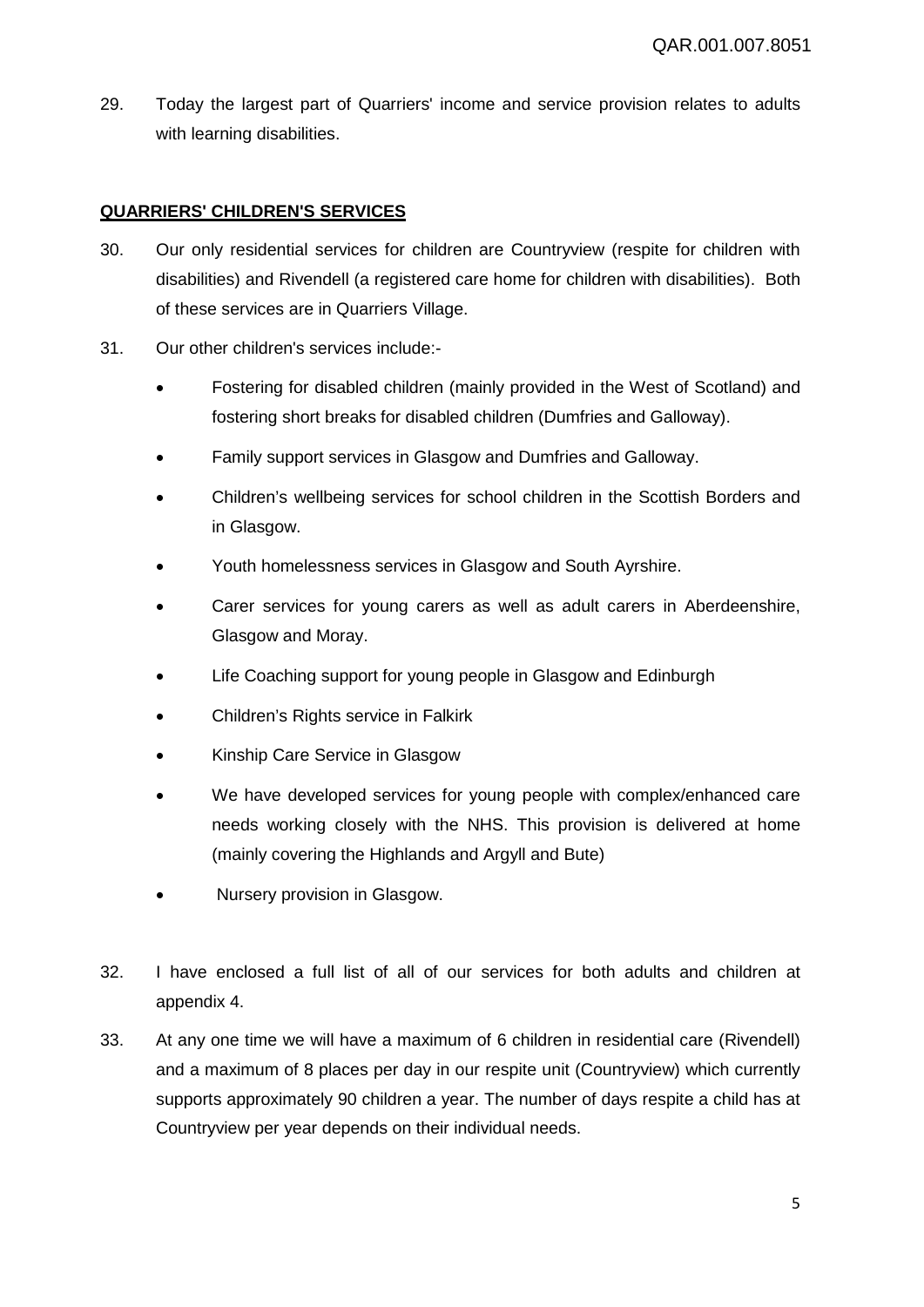29. Today the largest part of Quarriers' income and service provision relates to adults with learning disabilities.

# **QUARRIERS' CHILDREN'S SERVICES**

- 30. Our only residential services for children are Countryview (respite for children with disabilities) and Rivendell (a registered care home for children with disabilities). Both of these services are in Quarriers Village.
- 31. Our other children's services include:-
	- Fostering for disabled children (mainly provided in the West of Scotland) and fostering short breaks for disabled children (Dumfries and Galloway).
	- Family support services in Glasgow and Dumfries and Galloway.
	- Children's wellbeing services for school children in the Scottish Borders and in Glasgow.
	- Youth homelessness services in Glasgow and South Ayrshire.
	- Carer services for young carers as well as adult carers in Aberdeenshire, Glasgow and Moray.
	- Life Coaching support for young people in Glasgow and Edinburgh
	- Children's Rights service in Falkirk
	- Kinship Care Service in Glasgow
	- We have developed services for young people with complex/enhanced care needs working closely with the NHS. This provision is delivered at home (mainly covering the Highlands and Argyll and Bute)
	- Nursery provision in Glasgow.
- 32. I have enclosed a full list of all of our services for both adults and children at appendix 4.
- 33. At any one time we will have a maximum of 6 children in residential care (Rivendell) and a maximum of 8 places per day in our respite unit (Countryview) which currently supports approximately 90 children a year. The number of days respite a child has at Countryview per year depends on their individual needs.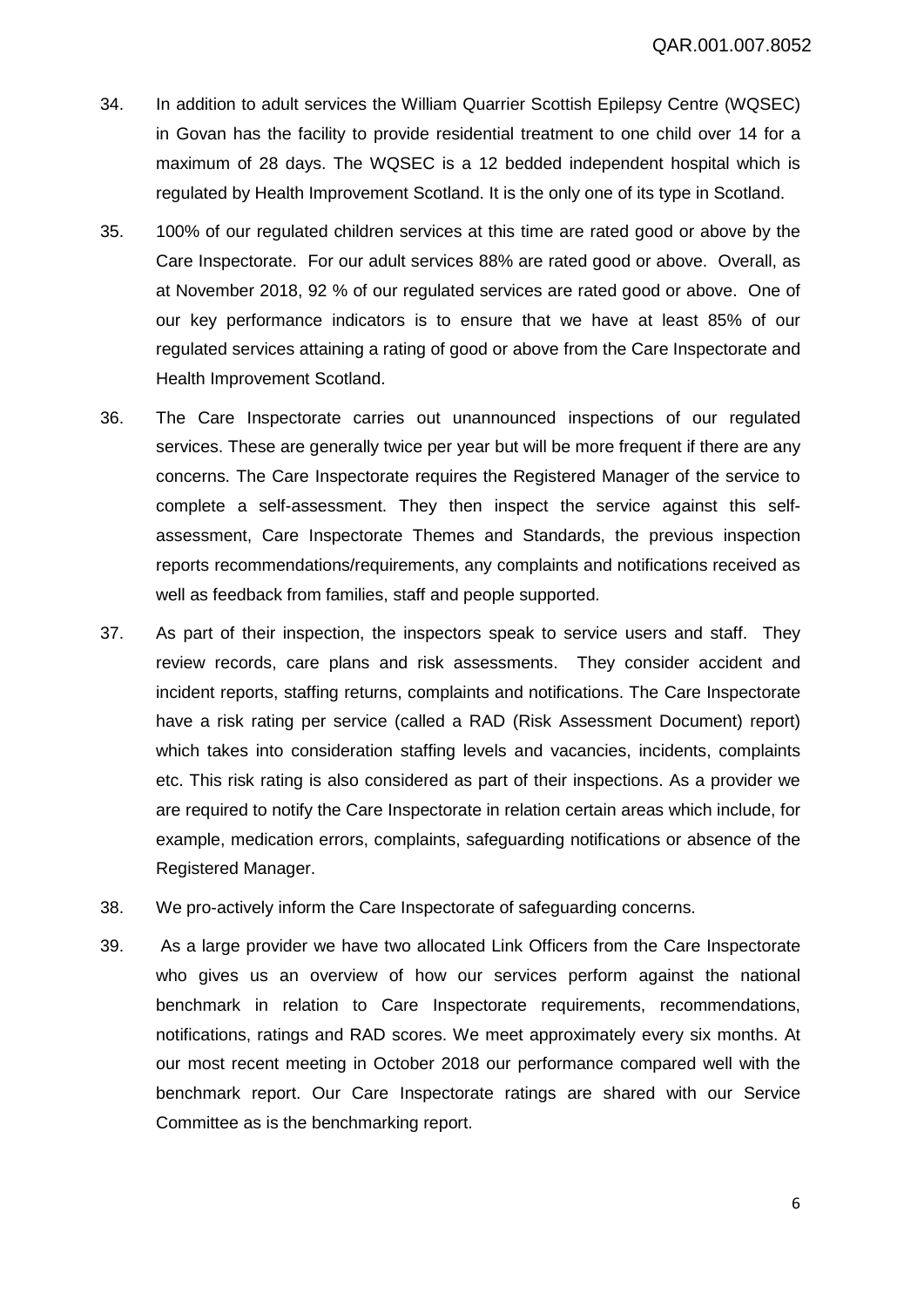- 34. In addition to adult services the William Quarrier Scottish Epilepsy Centre (WQSEC) in Govan has the facility to provide residential treatment to one child over 14 for a maximum of 28 days. The WQSEC is a 12 bedded independent hospital which is regulated by Health Improvement Scotland. It is the only one of its type in Scotland.
- 35. 100% of our regulated children services at this time are rated good or above by the Care Inspectorate. For our adult services 88% are rated good or above. Overall, as at November 2018, 92 % of our regulated services are rated good or above. One of our key performance indicators is to ensure that we have at least 85% of our regulated services attaining a rating of good or above from the Care Inspectorate and Health Improvement Scotland.
- 36. The Care Inspectorate carries out unannounced inspections of our regulated services. These are generally twice per year but will be more frequent if there are any concerns. The Care Inspectorate requires the Registered Manager of the service to complete a self-assessment. They then inspect the service against this selfassessment, Care Inspectorate Themes and Standards, the previous inspection reports recommendations/requirements, any complaints and notifications received as well as feedback from families, staff and people supported.
- 37. As part of their inspection, the inspectors speak to service users and staff. They review records, care plans and risk assessments. They consider accident and incident reports, staffing returns, complaints and notifications. The Care Inspectorate have a risk rating per service (called a RAD (Risk Assessment Document) report) which takes into consideration staffing levels and vacancies, incidents, complaints etc. This risk rating is also considered as part of their inspections. As a provider we are required to notify the Care Inspectorate in relation certain areas which include, for example, medication errors, complaints, safeguarding notifications or absence of the Registered Manager.
- 38. We pro-actively inform the Care Inspectorate of safeguarding concerns.
- 39. As a large provider we have two allocated Link Officers from the Care Inspectorate who gives us an overview of how our services perform against the national benchmark in relation to Care Inspectorate requirements, recommendations, notifications, ratings and RAD scores. We meet approximately every six months. At our most recent meeting in October 2018 our performance compared well with the benchmark report. Our Care Inspectorate ratings are shared with our Service Committee as is the benchmarking report.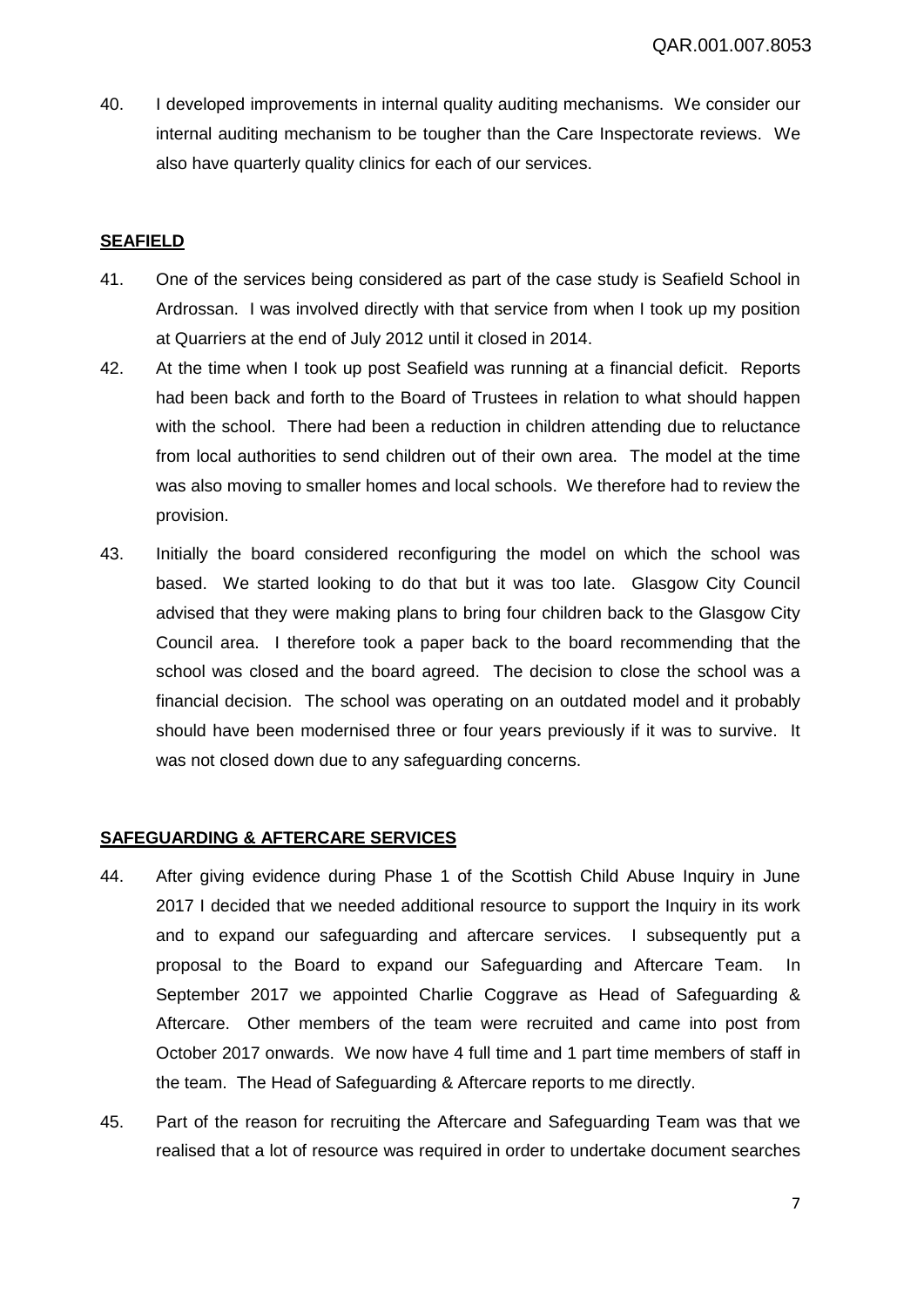40. I developed improvements in internal quality auditing mechanisms. We consider our internal auditing mechanism to be tougher than the Care Inspectorate reviews. We also have quarterly quality clinics for each of our services.

# **SEAFIELD**

- 41. One of the services being considered as part of the case study is Seafield School in Ardrossan. I was involved directly with that service from when I took up my position at Quarriers at the end of July 2012 until it closed in 2014.
- 42. At the time when I took up post Seafield was running at a financial deficit. Reports had been back and forth to the Board of Trustees in relation to what should happen with the school. There had been a reduction in children attending due to reluctance from local authorities to send children out of their own area. The model at the time was also moving to smaller homes and local schools. We therefore had to review the provision.
- 43. Initially the board considered reconfiguring the model on which the school was based. We started looking to do that but it was too late. Glasgow City Council advised that they were making plans to bring four children back to the Glasgow City Council area. I therefore took a paper back to the board recommending that the school was closed and the board agreed. The decision to close the school was a financial decision. The school was operating on an outdated model and it probably should have been modernised three or four years previously if it was to survive. It was not closed down due to any safeguarding concerns.

# **SAFEGUARDING & AFTERCARE SERVICES**

- 44. After giving evidence during Phase 1 of the Scottish Child Abuse Inquiry in June 2017 I decided that we needed additional resource to support the Inquiry in its work and to expand our safeguarding and aftercare services. I subsequently put a proposal to the Board to expand our Safeguarding and Aftercare Team. In September 2017 we appointed Charlie Coggrave as Head of Safeguarding & Aftercare. Other members of the team were recruited and came into post from October 2017 onwards. We now have 4 full time and 1 part time members of staff in the team. The Head of Safeguarding & Aftercare reports to me directly.
- 45. Part of the reason for recruiting the Aftercare and Safeguarding Team was that we realised that a lot of resource was required in order to undertake document searches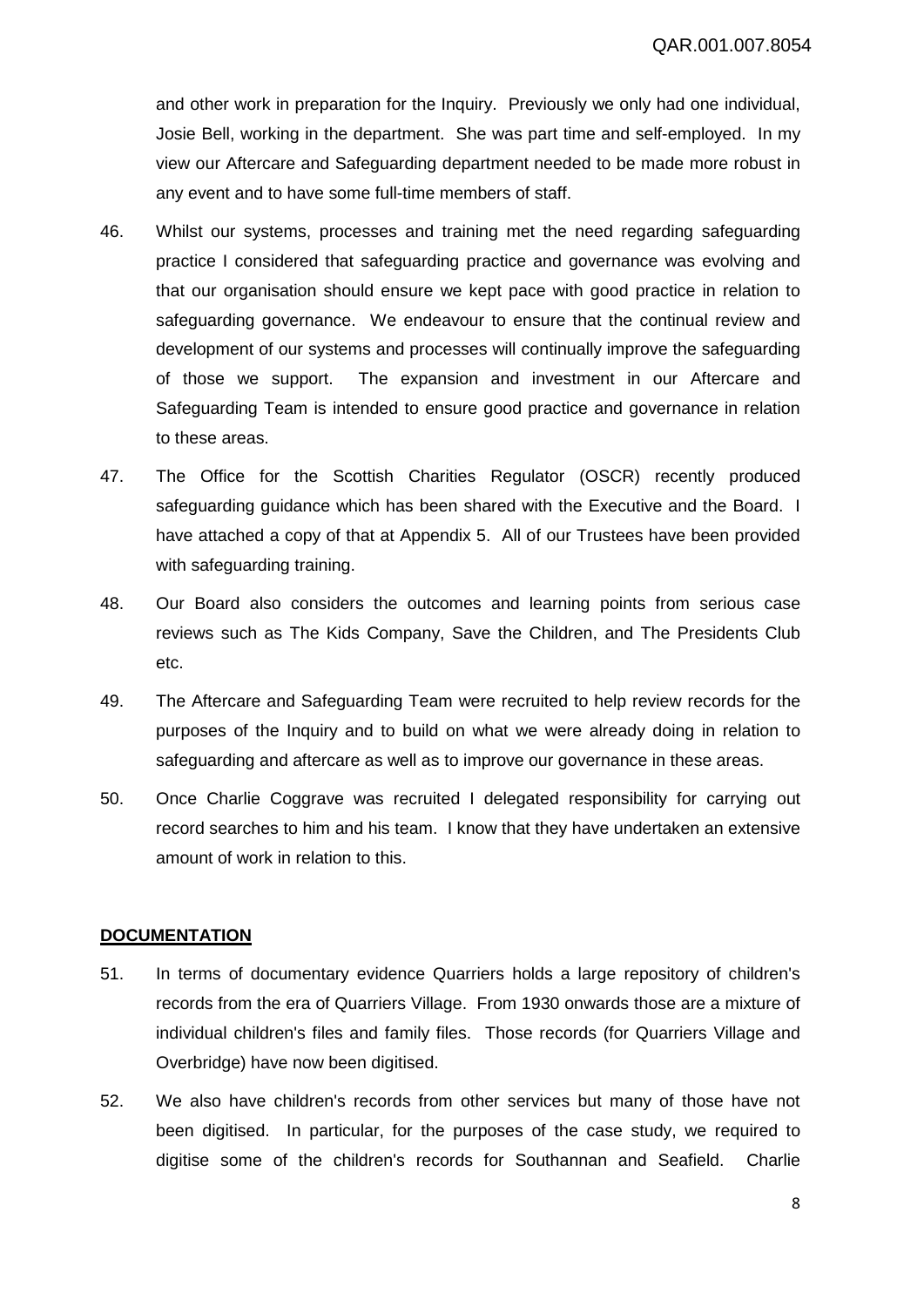and other work in preparation for the Inquiry. Previously we only had one individual, Josie Bell, working in the department. She was part time and self-employed. In my view our Aftercare and Safeguarding department needed to be made more robust in any event and to have some full-time members of staff.

- 46. Whilst our systems, processes and training met the need regarding safeguarding practice I considered that safeguarding practice and governance was evolving and that our organisation should ensure we kept pace with good practice in relation to safeguarding governance. We endeavour to ensure that the continual review and development of our systems and processes will continually improve the safeguarding of those we support. The expansion and investment in our Aftercare and Safeguarding Team is intended to ensure good practice and governance in relation to these areas.
- 47. The Office for the Scottish Charities Regulator (OSCR) recently produced safeguarding guidance which has been shared with the Executive and the Board. I have attached a copy of that at Appendix 5. All of our Trustees have been provided with safeguarding training.
- 48. Our Board also considers the outcomes and learning points from serious case reviews such as The Kids Company, Save the Children, and The Presidents Club etc.
- 49. The Aftercare and Safeguarding Team were recruited to help review records for the purposes of the Inquiry and to build on what we were already doing in relation to safeguarding and aftercare as well as to improve our governance in these areas.
- 50. Once Charlie Coggrave was recruited I delegated responsibility for carrying out record searches to him and his team. I know that they have undertaken an extensive amount of work in relation to this.

# **DOCUMENTATION**

- 51. In terms of documentary evidence Quarriers holds a large repository of children's records from the era of Quarriers Village. From 1930 onwards those are a mixture of individual children's files and family files. Those records (for Quarriers Village and Overbridge) have now been digitised.
- 52. We also have children's records from other services but many of those have not been digitised. In particular, for the purposes of the case study, we required to digitise some of the children's records for Southannan and Seafield. Charlie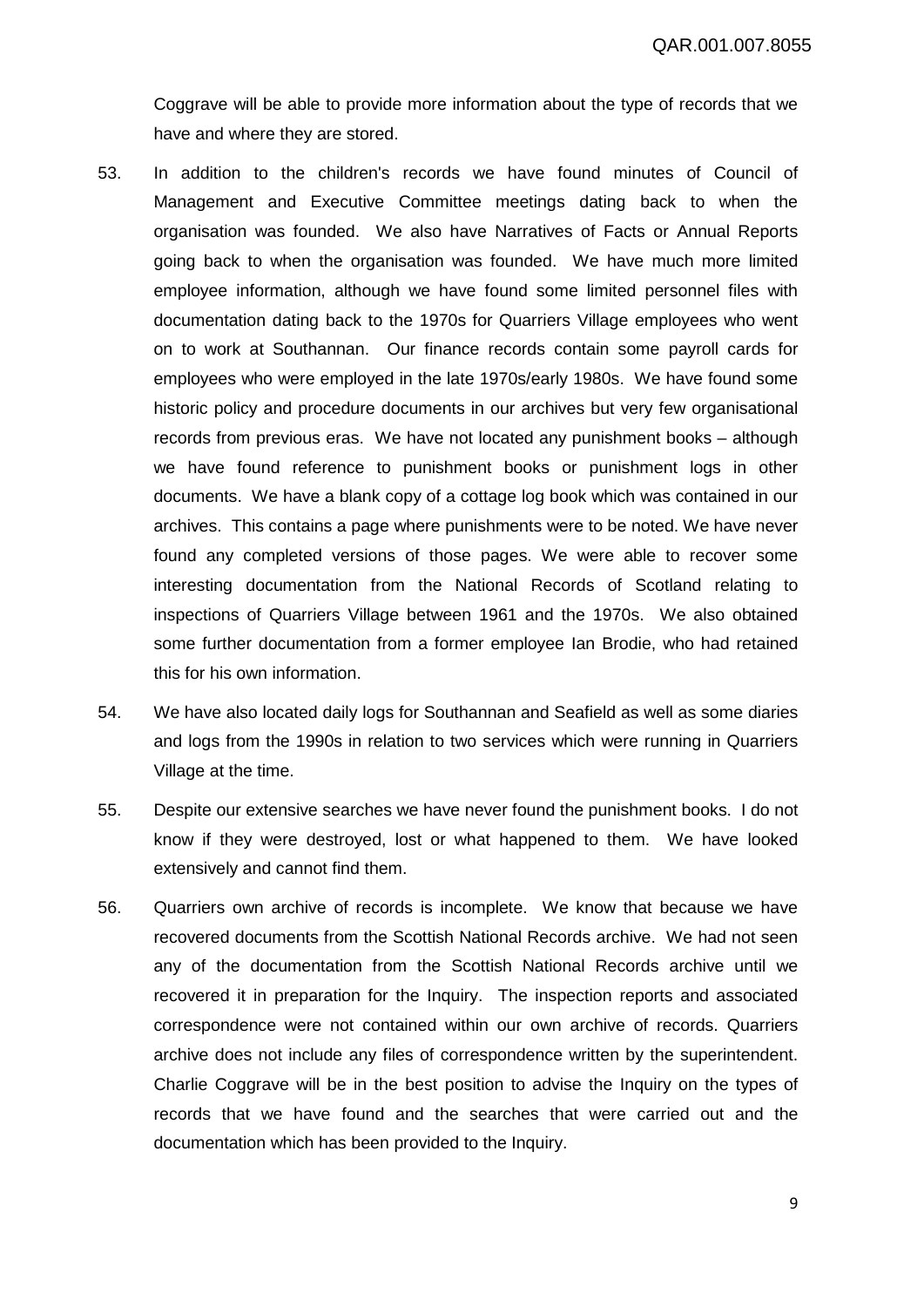Coggrave will be able to provide more information about the type of records that we have and where they are stored.

- 53. In addition to the children's records we have found minutes of Council of Management and Executive Committee meetings dating back to when the organisation was founded. We also have Narratives of Facts or Annual Reports going back to when the organisation was founded. We have much more limited employee information, although we have found some limited personnel files with documentation dating back to the 1970s for Quarriers Village employees who went on to work at Southannan. Our finance records contain some payroll cards for employees who were employed in the late 1970s/early 1980s. We have found some historic policy and procedure documents in our archives but very few organisational records from previous eras. We have not located any punishment books – although we have found reference to punishment books or punishment logs in other documents. We have a blank copy of a cottage log book which was contained in our archives. This contains a page where punishments were to be noted. We have never found any completed versions of those pages. We were able to recover some interesting documentation from the National Records of Scotland relating to inspections of Quarriers Village between 1961 and the 1970s. We also obtained some further documentation from a former employee Ian Brodie, who had retained this for his own information.
- 54. We have also located daily logs for Southannan and Seafield as well as some diaries and logs from the 1990s in relation to two services which were running in Quarriers Village at the time.
- 55. Despite our extensive searches we have never found the punishment books. I do not know if they were destroyed, lost or what happened to them. We have looked extensively and cannot find them.
- 56. Quarriers own archive of records is incomplete. We know that because we have recovered documents from the Scottish National Records archive. We had not seen any of the documentation from the Scottish National Records archive until we recovered it in preparation for the Inquiry. The inspection reports and associated correspondence were not contained within our own archive of records. Quarriers archive does not include any files of correspondence written by the superintendent. Charlie Coggrave will be in the best position to advise the Inquiry on the types of records that we have found and the searches that were carried out and the documentation which has been provided to the Inquiry.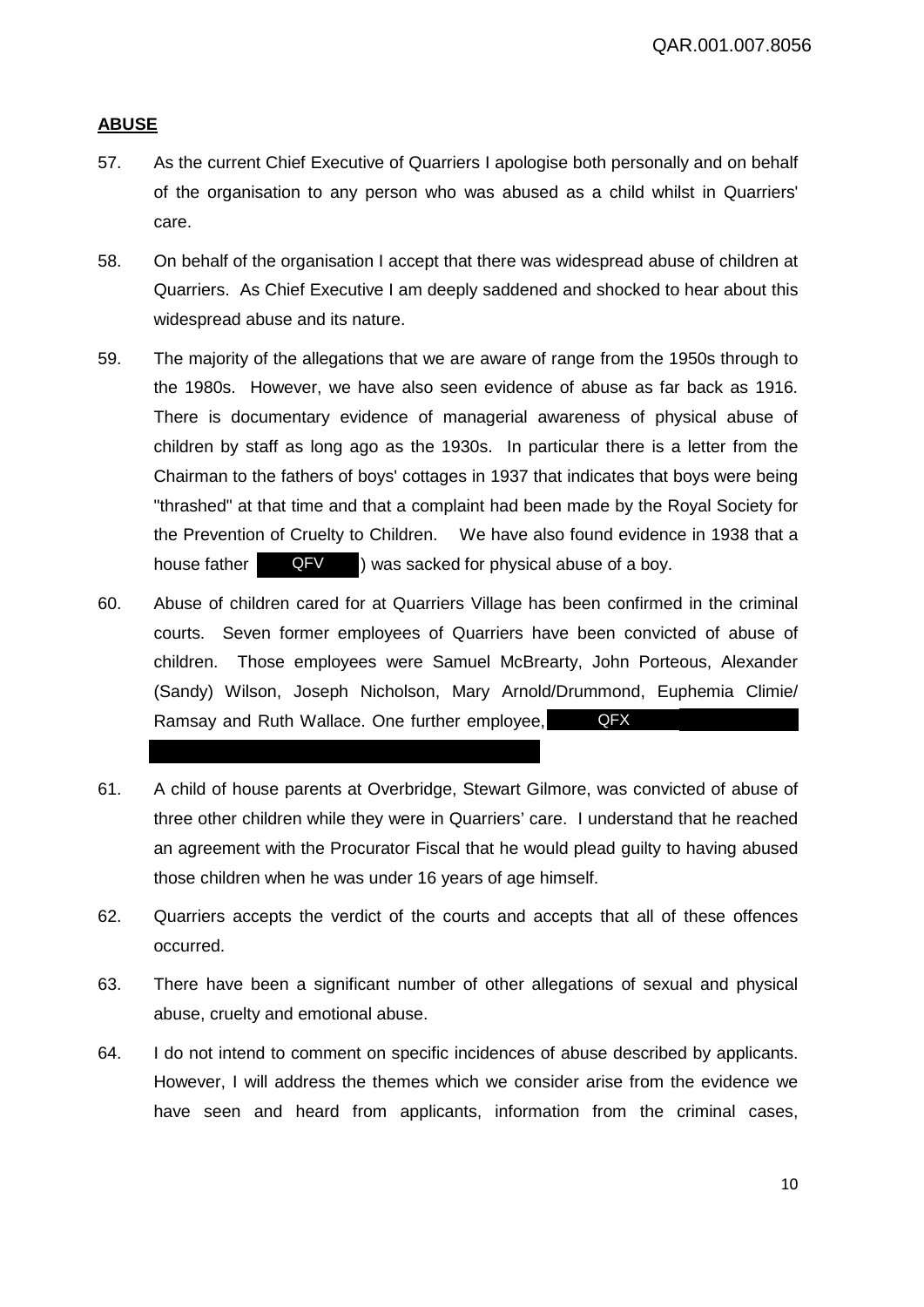# **ABUSE**

- 57. As the current Chief Executive of Quarriers I apologise both personally and on behalf of the organisation to any person who was abused as a child whilst in Quarriers' care.
- 58. On behalf of the organisation I accept that there was widespread abuse of children at Quarriers. As Chief Executive I am deeply saddened and shocked to hear about this widespread abuse and its nature.
- 59. The majority of the allegations that we are aware of range from the 1950s through to the 1980s. However, we have also seen evidence of abuse as far back as 1916. There is documentary evidence of managerial awareness of physical abuse of children by staff as long ago as the 1930s. In particular there is a letter from the Chairman to the fathers of boys' cottages in 1937 that indicates that boys were being "thrashed" at that time and that a complaint had been made by the Royal Society for the Prevention of Cruelty to Children. We have also found evidence in 1938 that a house father **QFV** ) was sacked for physical abuse of a boy. QFV
- 60. Abuse of children cared for at Quarriers Village has been confirmed in the criminal courts. Seven former employees of Quarriers have been convicted of abuse of children. Those employees were Samuel McBrearty, John Porteous, Alexander (Sandy) Wilson, Joseph Nicholson, Mary Arnold/Drummond, Euphemia Climie/ Ramsay and Ruth Wallace. One further employee, QFX
- 61. A child of house parents at Overbridge, Stewart Gilmore, was convicted of abuse of three other children while they were in Quarriers' care. I understand that he reached an agreement with the Procurator Fiscal that he would plead guilty to having abused those children when he was under 16 years of age himself.
- 62. Quarriers accepts the verdict of the courts and accepts that all of these offences occurred.
- 63. There have been a significant number of other allegations of sexual and physical abuse, cruelty and emotional abuse.
- 64. I do not intend to comment on specific incidences of abuse described by applicants. However, I will address the themes which we consider arise from the evidence we have seen and heard from applicants, information from the criminal cases,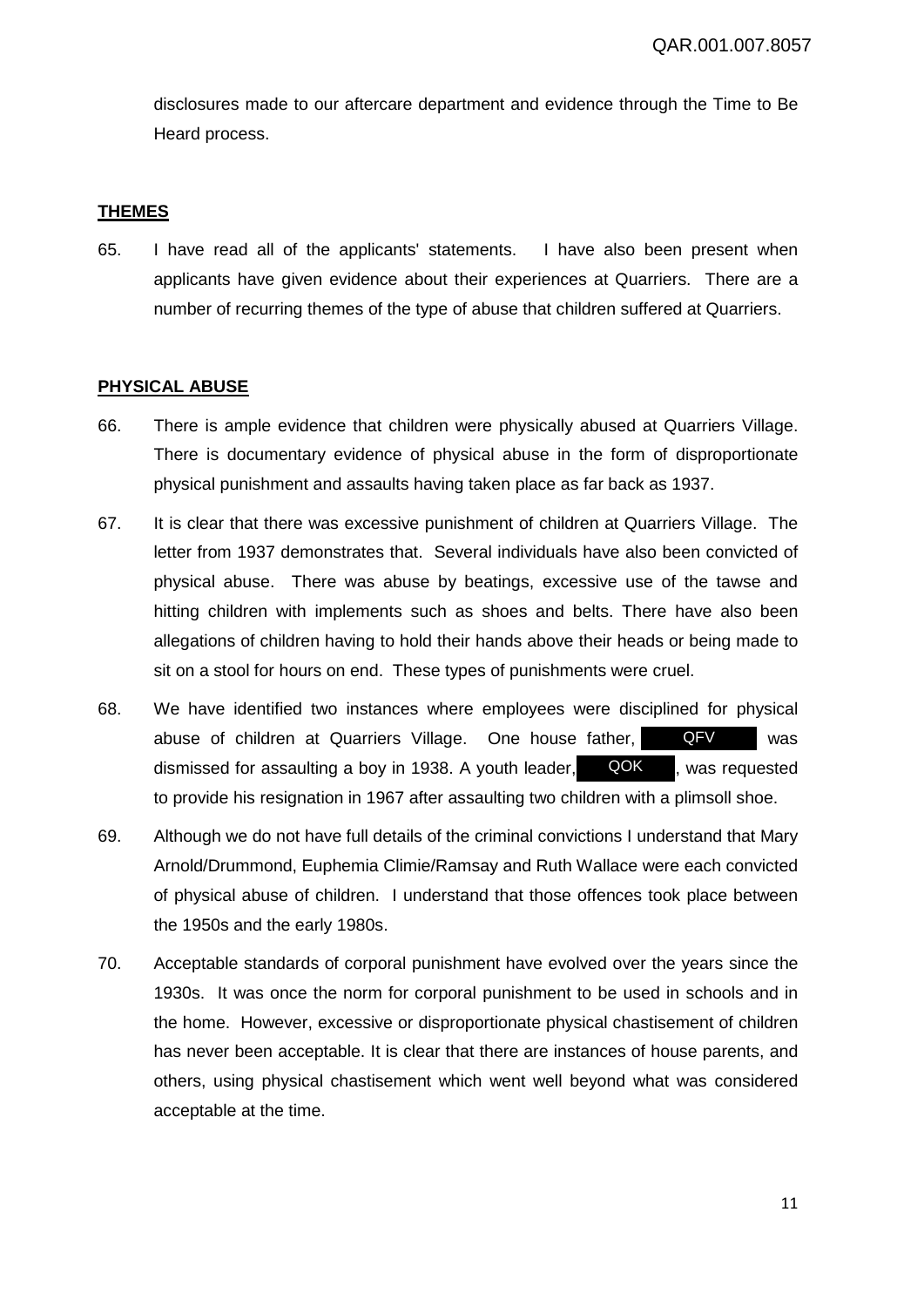disclosures made to our aftercare department and evidence through the Time to Be Heard process.

# **THEMES**

65. I have read all of the applicants' statements. I have also been present when applicants have given evidence about their experiences at Quarriers. There are a number of recurring themes of the type of abuse that children suffered at Quarriers.

# **PHYSICAL ABUSE**

- 66. There is ample evidence that children were physically abused at Quarriers Village. There is documentary evidence of physical abuse in the form of disproportionate physical punishment and assaults having taken place as far back as 1937.
- 67. It is clear that there was excessive punishment of children at Quarriers Village. The letter from 1937 demonstrates that. Several individuals have also been convicted of physical abuse. There was abuse by beatings, excessive use of the tawse and hitting children with implements such as shoes and belts. There have also been allegations of children having to hold their hands above their heads or being made to sit on a stool for hours on end. These types of punishments were cruel.
- 68. We have identified two instances where employees were disciplined for physical abuse of children at Quarriers Village. One house father, **QFV** was dismissed for assaulting a boy in 1938. A youth leader,  $\Box$  QOK , was requested to provide his resignation in 1967 after assaulting two children with a plimsoll shoe. QFV QOK
- 69. Although we do not have full details of the criminal convictions I understand that Mary Arnold/Drummond, Euphemia Climie/Ramsay and Ruth Wallace were each convicted of physical abuse of children. I understand that those offences took place between the 1950s and the early 1980s.
- 70. Acceptable standards of corporal punishment have evolved over the years since the 1930s. It was once the norm for corporal punishment to be used in schools and in the home. However, excessive or disproportionate physical chastisement of children has never been acceptable. It is clear that there are instances of house parents, and others, using physical chastisement which went well beyond what was considered acceptable at the time.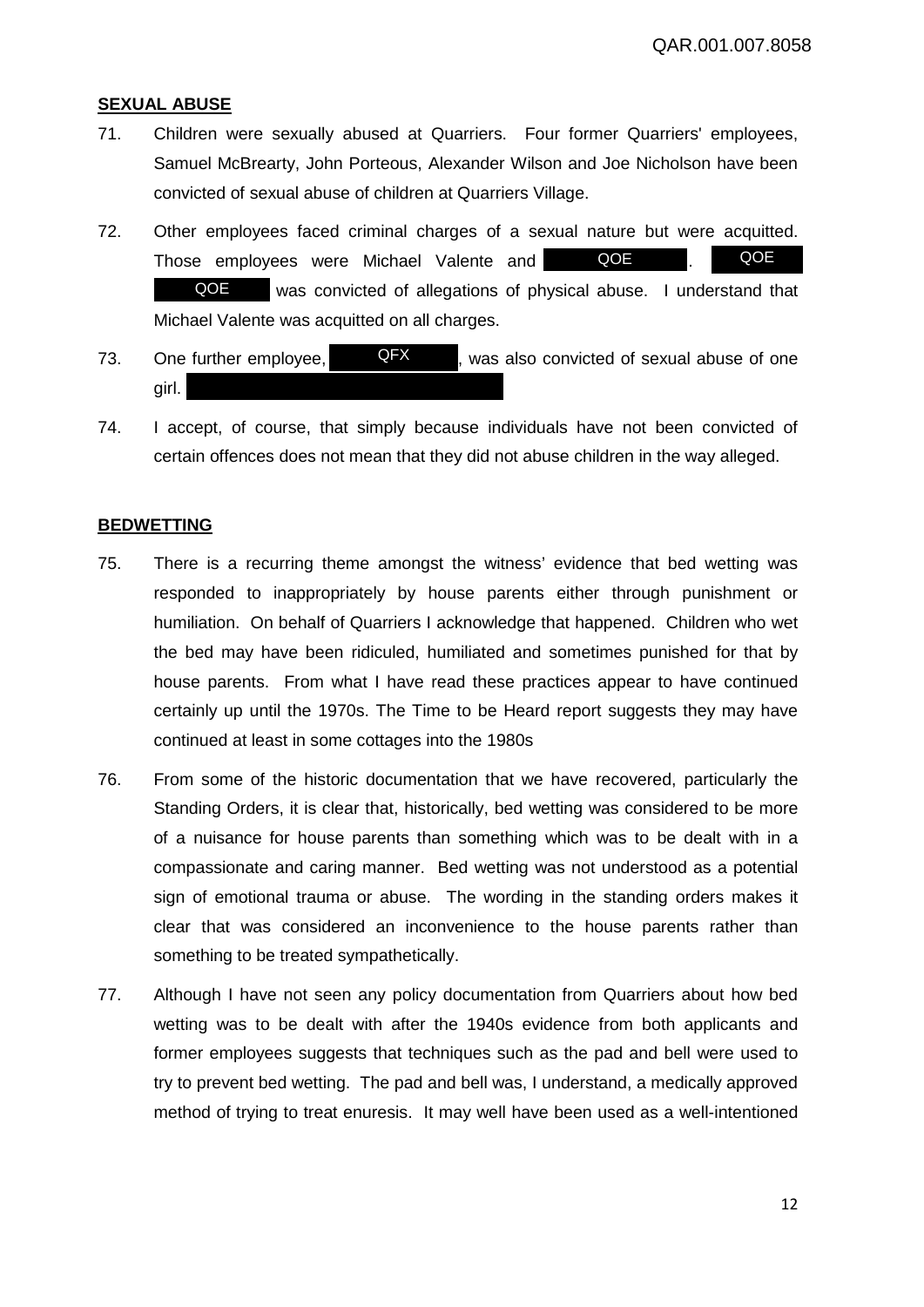#### **SEXUAL ABUSE**

- 71. Children were sexually abused at Quarriers. Four former Quarriers' employees, Samuel McBrearty, John Porteous, Alexander Wilson and Joe Nicholson have been convicted of sexual abuse of children at Quarriers Village.
- 72. Other employees faced criminal charges of a sexual nature but were acquitted. Those employees were Michael Valente and was convicted of allegations of physical abuse. I understand that Michael Valente was acquitted on all charges. QOE QOE QOE
- 73. One further employee,  $QFX$ , was also convicted of sexual abuse of one girl. QFX
- 74. I accept, of course, that simply because individuals have not been convicted of certain offences does not mean that they did not abuse children in the way alleged.

# **BEDWETTING**

- 75. There is a recurring theme amongst the witness' evidence that bed wetting was responded to inappropriately by house parents either through punishment or humiliation. On behalf of Quarriers I acknowledge that happened. Children who wet the bed may have been ridiculed, humiliated and sometimes punished for that by house parents. From what I have read these practices appear to have continued certainly up until the 1970s. The Time to be Heard report suggests they may have continued at least in some cottages into the 1980s
- 76. From some of the historic documentation that we have recovered, particularly the Standing Orders, it is clear that, historically, bed wetting was considered to be more of a nuisance for house parents than something which was to be dealt with in a compassionate and caring manner. Bed wetting was not understood as a potential sign of emotional trauma or abuse. The wording in the standing orders makes it clear that was considered an inconvenience to the house parents rather than something to be treated sympathetically.
- 77. Although I have not seen any policy documentation from Quarriers about how bed wetting was to be dealt with after the 1940s evidence from both applicants and former employees suggests that techniques such as the pad and bell were used to try to prevent bed wetting. The pad and bell was, I understand, a medically approved method of trying to treat enuresis. It may well have been used as a well-intentioned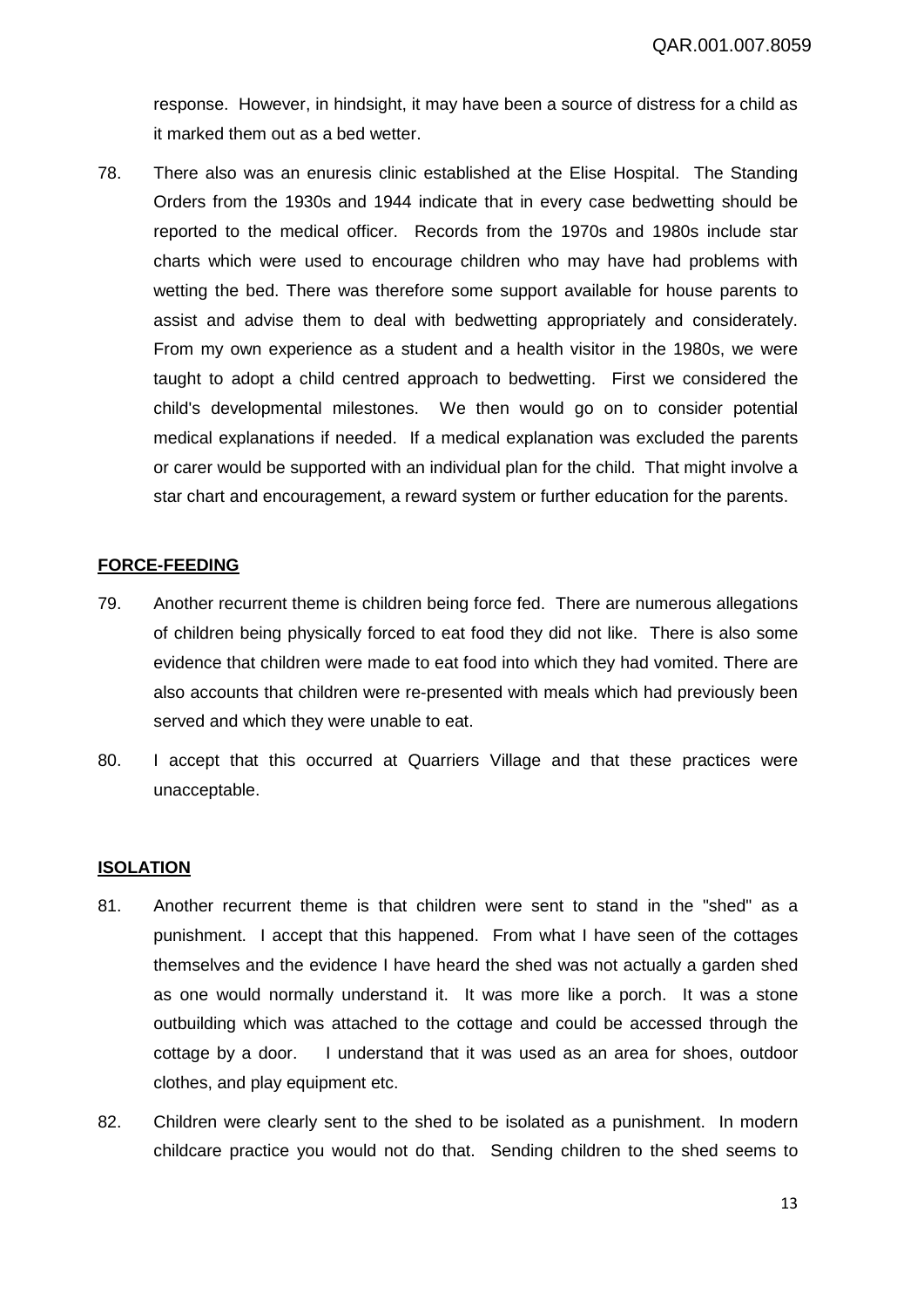response. However, in hindsight, it may have been a source of distress for a child as it marked them out as a bed wetter.

78. There also was an enuresis clinic established at the Elise Hospital. The Standing Orders from the 1930s and 1944 indicate that in every case bedwetting should be reported to the medical officer. Records from the 1970s and 1980s include star charts which were used to encourage children who may have had problems with wetting the bed. There was therefore some support available for house parents to assist and advise them to deal with bedwetting appropriately and considerately. From my own experience as a student and a health visitor in the 1980s, we were taught to adopt a child centred approach to bedwetting. First we considered the child's developmental milestones. We then would go on to consider potential medical explanations if needed. If a medical explanation was excluded the parents or carer would be supported with an individual plan for the child. That might involve a star chart and encouragement, a reward system or further education for the parents.

# **FORCE-FEEDING**

- 79. Another recurrent theme is children being force fed. There are numerous allegations of children being physically forced to eat food they did not like. There is also some evidence that children were made to eat food into which they had vomited. There are also accounts that children were re-presented with meals which had previously been served and which they were unable to eat.
- 80. I accept that this occurred at Quarriers Village and that these practices were unacceptable.

# **ISOLATION**

- 81. Another recurrent theme is that children were sent to stand in the "shed" as a punishment. I accept that this happened. From what I have seen of the cottages themselves and the evidence I have heard the shed was not actually a garden shed as one would normally understand it. It was more like a porch. It was a stone outbuilding which was attached to the cottage and could be accessed through the cottage by a door. I understand that it was used as an area for shoes, outdoor clothes, and play equipment etc.
- 82. Children were clearly sent to the shed to be isolated as a punishment. In modern childcare practice you would not do that. Sending children to the shed seems to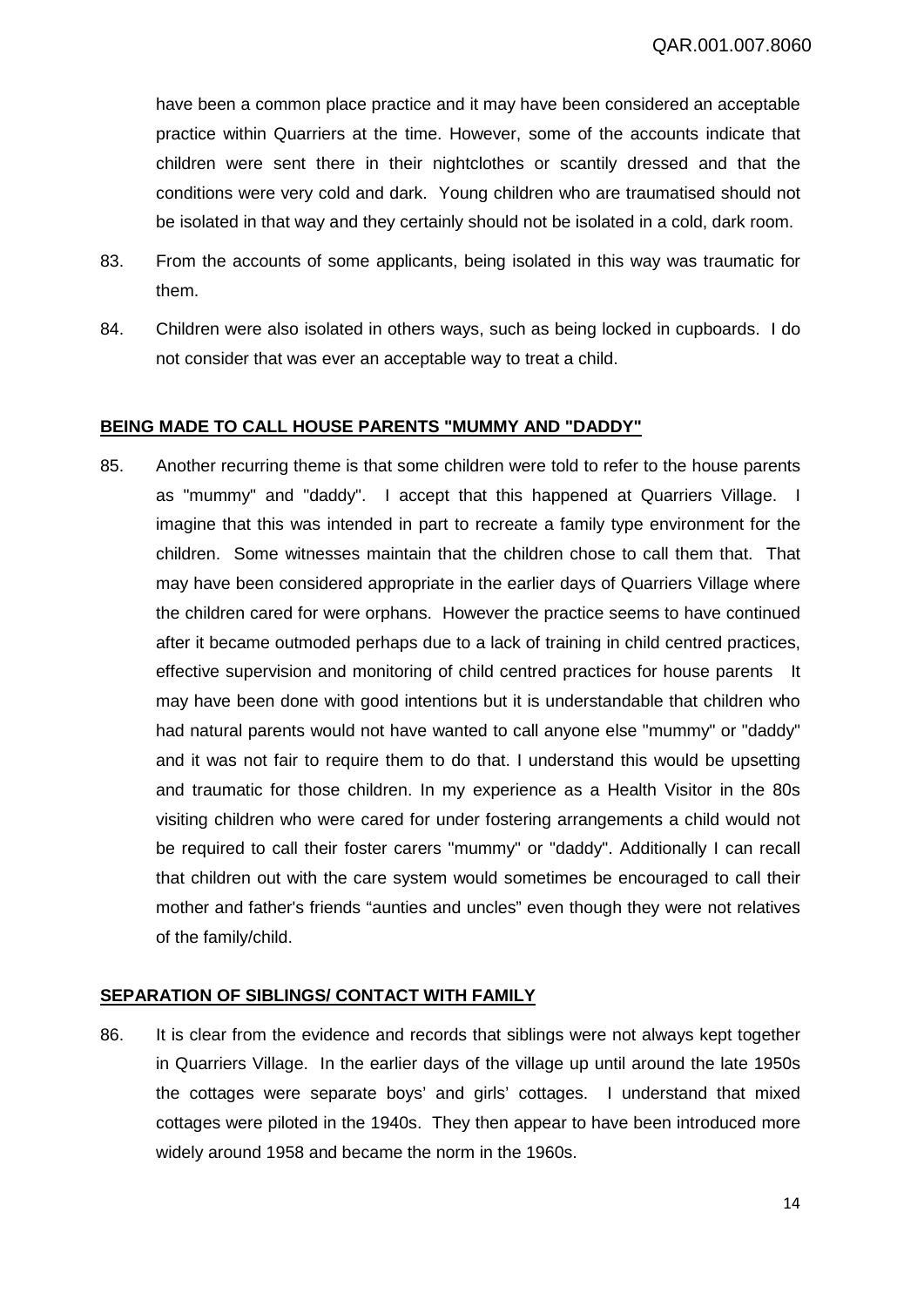have been a common place practice and it may have been considered an acceptable practice within Quarriers at the time. However, some of the accounts indicate that children were sent there in their nightclothes or scantily dressed and that the conditions were very cold and dark. Young children who are traumatised should not be isolated in that way and they certainly should not be isolated in a cold, dark room.

- 83. From the accounts of some applicants, being isolated in this way was traumatic for them.
- 84. Children were also isolated in others ways, such as being locked in cupboards. I do not consider that was ever an acceptable way to treat a child.

# **BEING MADE TO CALL HOUSE PARENTS "MUMMY AND "DADDY"**

85. Another recurring theme is that some children were told to refer to the house parents as "mummy" and "daddy". I accept that this happened at Quarriers Village. I imagine that this was intended in part to recreate a family type environment for the children. Some witnesses maintain that the children chose to call them that. That may have been considered appropriate in the earlier days of Quarriers Village where the children cared for were orphans. However the practice seems to have continued after it became outmoded perhaps due to a lack of training in child centred practices, effective supervision and monitoring of child centred practices for house parents It may have been done with good intentions but it is understandable that children who had natural parents would not have wanted to call anyone else "mummy" or "daddy" and it was not fair to require them to do that. I understand this would be upsetting and traumatic for those children. In my experience as a Health Visitor in the 80s visiting children who were cared for under fostering arrangements a child would not be required to call their foster carers "mummy" or "daddy". Additionally I can recall that children out with the care system would sometimes be encouraged to call their mother and father's friends "aunties and uncles" even though they were not relatives of the family/child.

# **SEPARATION OF SIBLINGS/ CONTACT WITH FAMILY**

86. It is clear from the evidence and records that siblings were not always kept together in Quarriers Village. In the earlier days of the village up until around the late 1950s the cottages were separate boys' and girls' cottages. I understand that mixed cottages were piloted in the 1940s. They then appear to have been introduced more widely around 1958 and became the norm in the 1960s.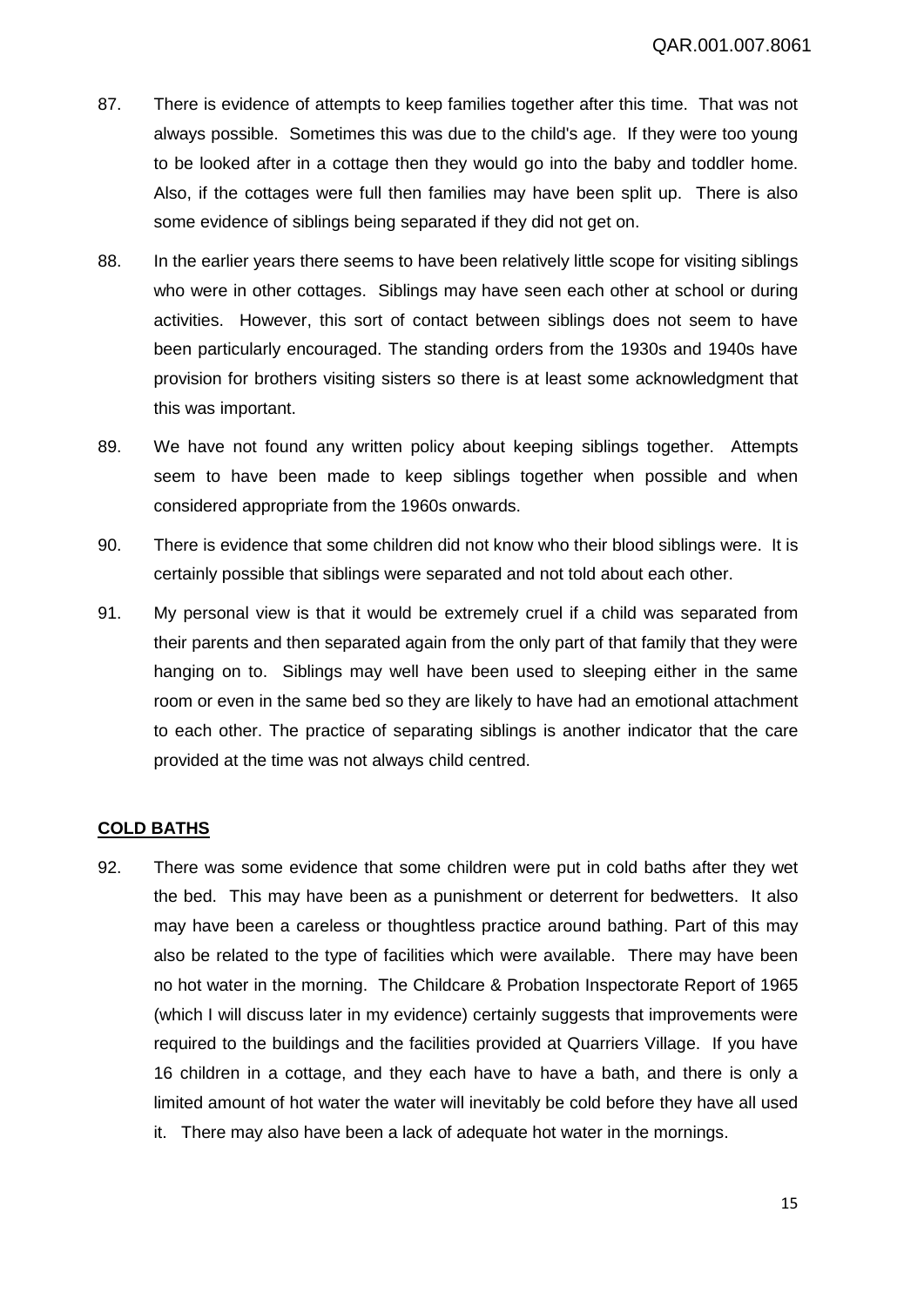- 87. There is evidence of attempts to keep families together after this time. That was not always possible. Sometimes this was due to the child's age. If they were too young to be looked after in a cottage then they would go into the baby and toddler home. Also, if the cottages were full then families may have been split up. There is also some evidence of siblings being separated if they did not get on.
- 88. In the earlier years there seems to have been relatively little scope for visiting siblings who were in other cottages. Siblings may have seen each other at school or during activities. However, this sort of contact between siblings does not seem to have been particularly encouraged. The standing orders from the 1930s and 1940s have provision for brothers visiting sisters so there is at least some acknowledgment that this was important.
- 89. We have not found any written policy about keeping siblings together. Attempts seem to have been made to keep siblings together when possible and when considered appropriate from the 1960s onwards.
- 90. There is evidence that some children did not know who their blood siblings were. It is certainly possible that siblings were separated and not told about each other.
- 91. My personal view is that it would be extremely cruel if a child was separated from their parents and then separated again from the only part of that family that they were hanging on to. Siblings may well have been used to sleeping either in the same room or even in the same bed so they are likely to have had an emotional attachment to each other. The practice of separating siblings is another indicator that the care provided at the time was not always child centred.

# **COLD BATHS**

92. There was some evidence that some children were put in cold baths after they wet the bed. This may have been as a punishment or deterrent for bedwetters. It also may have been a careless or thoughtless practice around bathing. Part of this may also be related to the type of facilities which were available. There may have been no hot water in the morning. The Childcare & Probation Inspectorate Report of 1965 (which I will discuss later in my evidence) certainly suggests that improvements were required to the buildings and the facilities provided at Quarriers Village. If you have 16 children in a cottage, and they each have to have a bath, and there is only a limited amount of hot water the water will inevitably be cold before they have all used it. There may also have been a lack of adequate hot water in the mornings.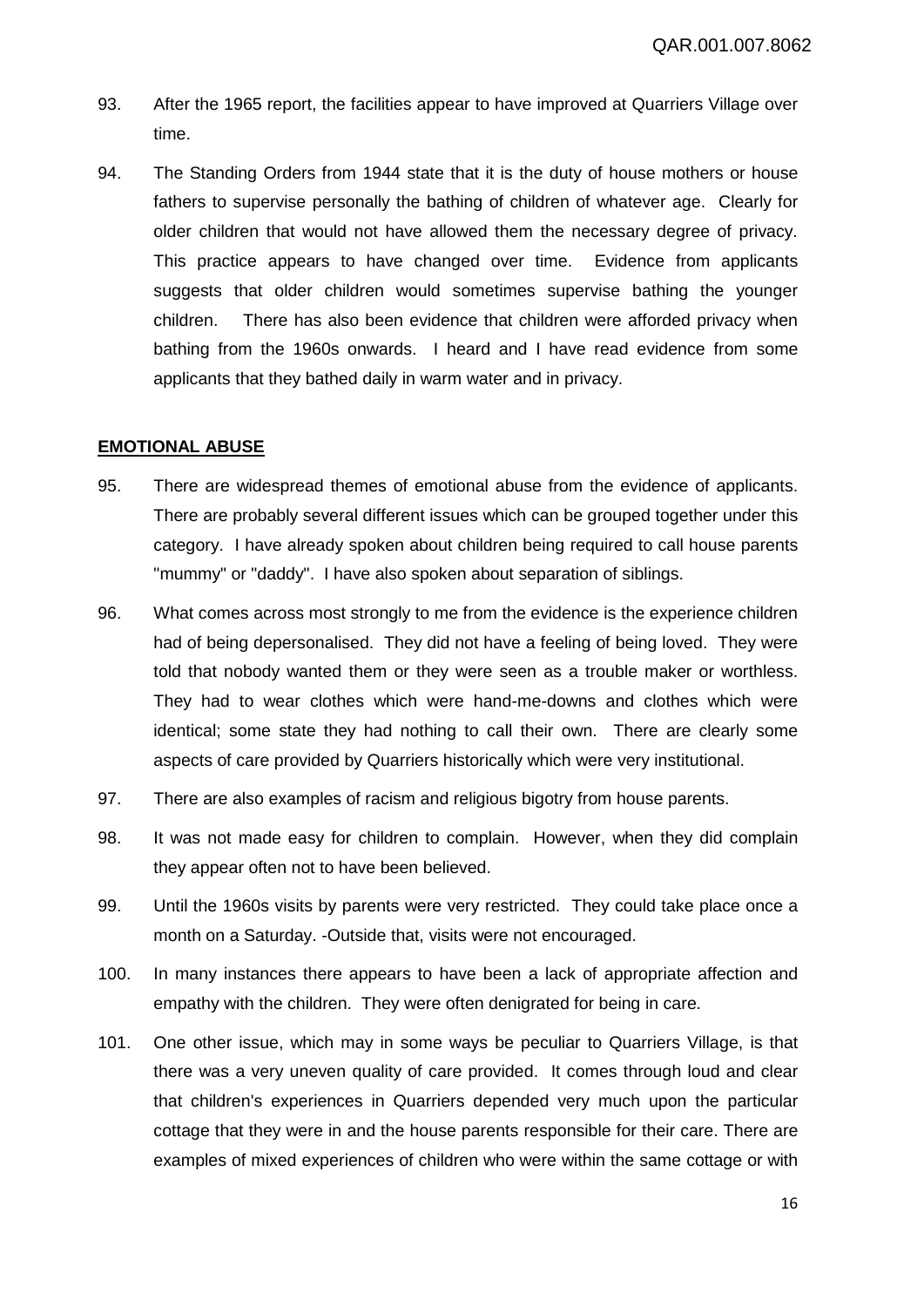- 93. After the 1965 report, the facilities appear to have improved at Quarriers Village over time.
- 94. The Standing Orders from 1944 state that it is the duty of house mothers or house fathers to supervise personally the bathing of children of whatever age. Clearly for older children that would not have allowed them the necessary degree of privacy. This practice appears to have changed over time. Evidence from applicants suggests that older children would sometimes supervise bathing the younger children. There has also been evidence that children were afforded privacy when bathing from the 1960s onwards. I heard and I have read evidence from some applicants that they bathed daily in warm water and in privacy.

#### **EMOTIONAL ABUSE**

- 95. There are widespread themes of emotional abuse from the evidence of applicants. There are probably several different issues which can be grouped together under this category. I have already spoken about children being required to call house parents "mummy" or "daddy". I have also spoken about separation of siblings.
- 96. What comes across most strongly to me from the evidence is the experience children had of being depersonalised. They did not have a feeling of being loved. They were told that nobody wanted them or they were seen as a trouble maker or worthless. They had to wear clothes which were hand-me-downs and clothes which were identical; some state they had nothing to call their own. There are clearly some aspects of care provided by Quarriers historically which were very institutional.
- 97. There are also examples of racism and religious bigotry from house parents.
- 98. It was not made easy for children to complain. However, when they did complain they appear often not to have been believed.
- 99. Until the 1960s visits by parents were very restricted. They could take place once a month on a Saturday. -Outside that, visits were not encouraged.
- 100. In many instances there appears to have been a lack of appropriate affection and empathy with the children. They were often denigrated for being in care.
- 101. One other issue, which may in some ways be peculiar to Quarriers Village, is that there was a very uneven quality of care provided. It comes through loud and clear that children's experiences in Quarriers depended very much upon the particular cottage that they were in and the house parents responsible for their care. There are examples of mixed experiences of children who were within the same cottage or with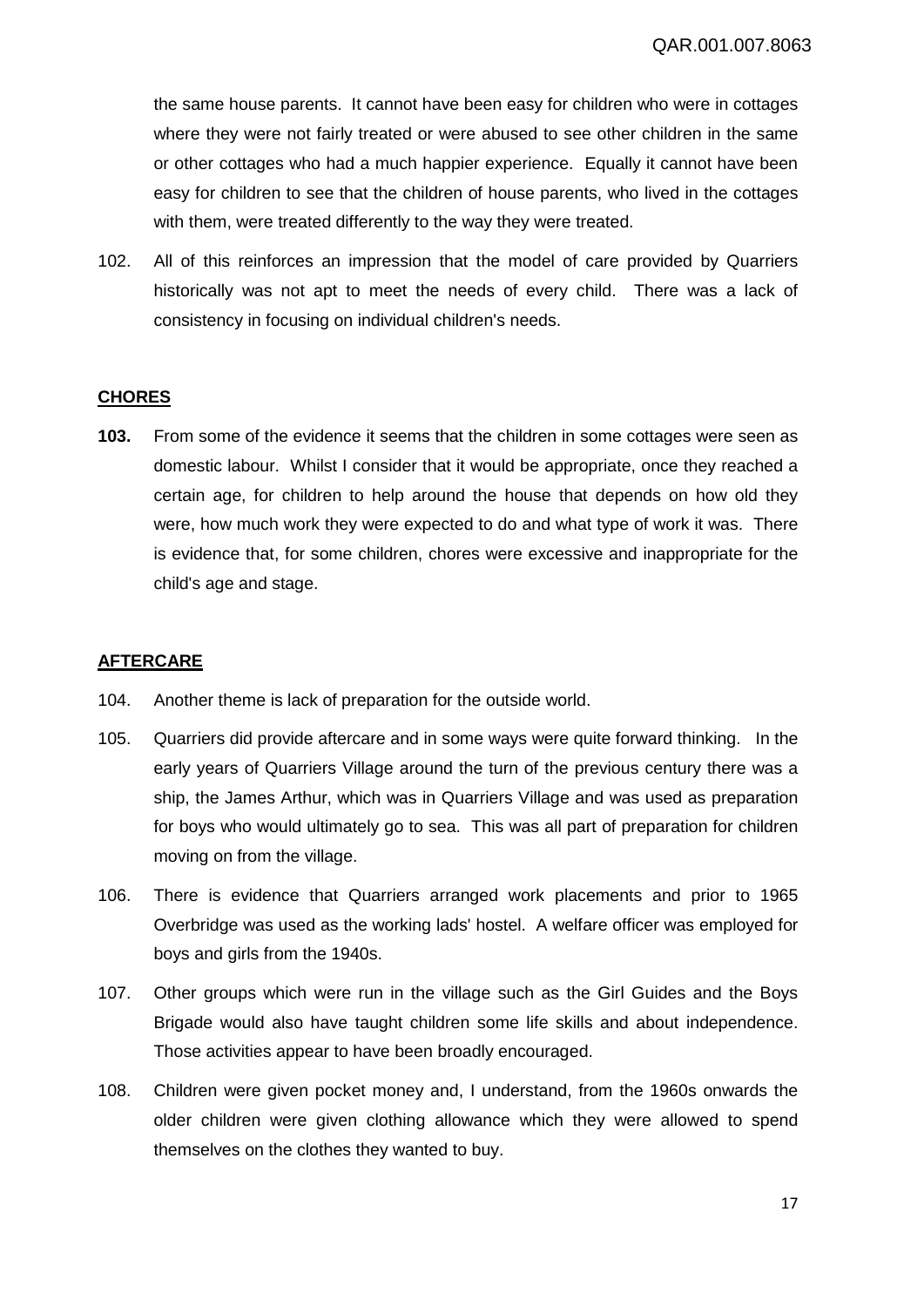the same house parents. It cannot have been easy for children who were in cottages where they were not fairly treated or were abused to see other children in the same or other cottages who had a much happier experience. Equally it cannot have been easy for children to see that the children of house parents, who lived in the cottages with them, were treated differently to the way they were treated.

102. All of this reinforces an impression that the model of care provided by Quarriers historically was not apt to meet the needs of every child. There was a lack of consistency in focusing on individual children's needs.

# **CHORES**

**103.** From some of the evidence it seems that the children in some cottages were seen as domestic labour. Whilst I consider that it would be appropriate, once they reached a certain age, for children to help around the house that depends on how old they were, how much work they were expected to do and what type of work it was. There is evidence that, for some children, chores were excessive and inappropriate for the child's age and stage.

# **AFTERCARE**

- 104. Another theme is lack of preparation for the outside world.
- 105. Quarriers did provide aftercare and in some ways were quite forward thinking. In the early years of Quarriers Village around the turn of the previous century there was a ship, the James Arthur, which was in Quarriers Village and was used as preparation for boys who would ultimately go to sea. This was all part of preparation for children moving on from the village.
- 106. There is evidence that Quarriers arranged work placements and prior to 1965 Overbridge was used as the working lads' hostel. A welfare officer was employed for boys and girls from the 1940s.
- 107. Other groups which were run in the village such as the Girl Guides and the Boys Brigade would also have taught children some life skills and about independence. Those activities appear to have been broadly encouraged.
- 108. Children were given pocket money and, I understand, from the 1960s onwards the older children were given clothing allowance which they were allowed to spend themselves on the clothes they wanted to buy.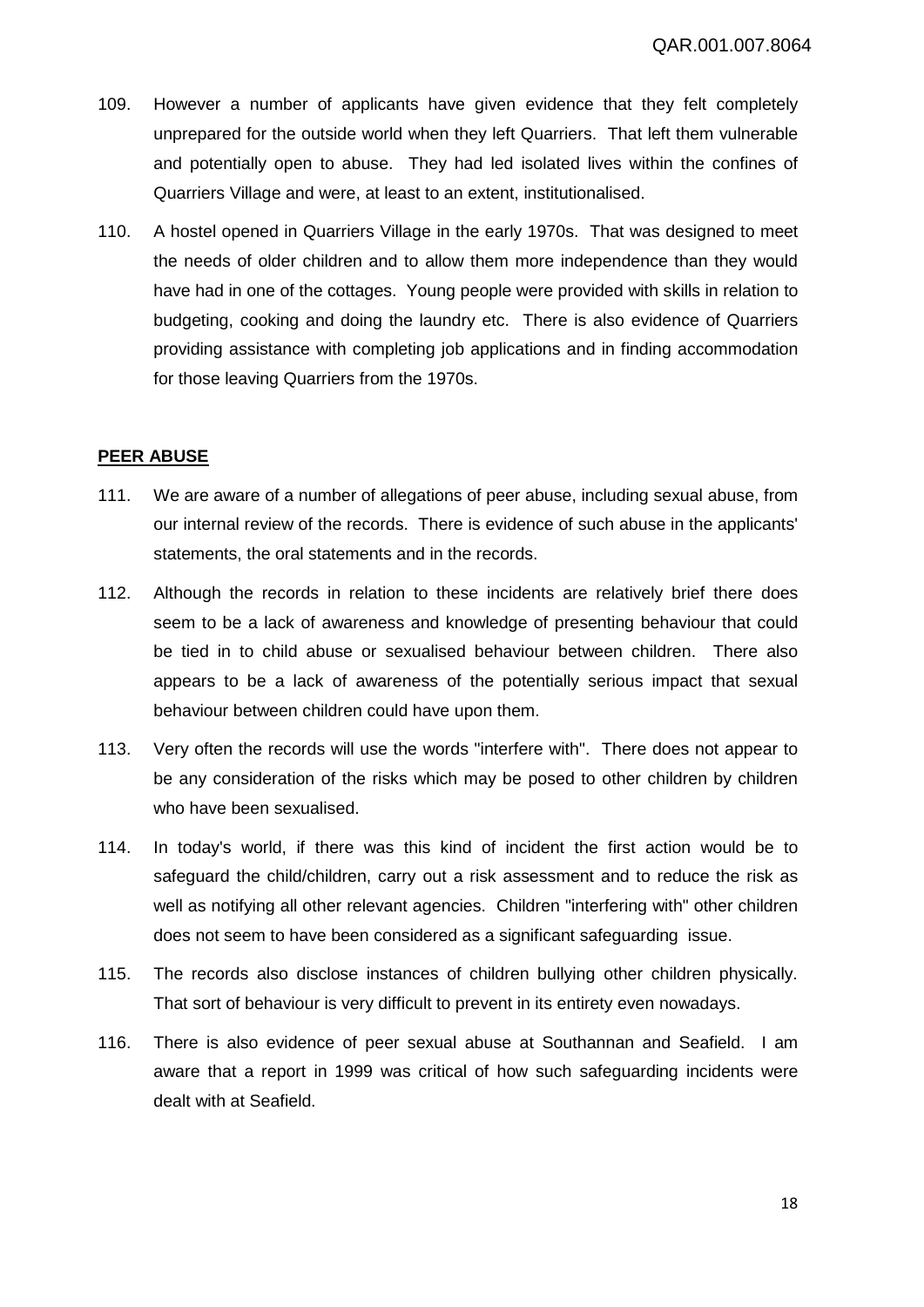- 109. However a number of applicants have given evidence that they felt completely unprepared for the outside world when they left Quarriers. That left them vulnerable and potentially open to abuse. They had led isolated lives within the confines of Quarriers Village and were, at least to an extent, institutionalised.
- 110. A hostel opened in Quarriers Village in the early 1970s. That was designed to meet the needs of older children and to allow them more independence than they would have had in one of the cottages. Young people were provided with skills in relation to budgeting, cooking and doing the laundry etc. There is also evidence of Quarriers providing assistance with completing job applications and in finding accommodation for those leaving Quarriers from the 1970s.

#### **PEER ABUSE**

- 111. We are aware of a number of allegations of peer abuse, including sexual abuse, from our internal review of the records. There is evidence of such abuse in the applicants' statements, the oral statements and in the records.
- 112. Although the records in relation to these incidents are relatively brief there does seem to be a lack of awareness and knowledge of presenting behaviour that could be tied in to child abuse or sexualised behaviour between children. There also appears to be a lack of awareness of the potentially serious impact that sexual behaviour between children could have upon them.
- 113. Very often the records will use the words "interfere with". There does not appear to be any consideration of the risks which may be posed to other children by children who have been sexualised.
- 114. In today's world, if there was this kind of incident the first action would be to safeguard the child/children, carry out a risk assessment and to reduce the risk as well as notifying all other relevant agencies. Children "interfering with" other children does not seem to have been considered as a significant safeguarding issue.
- 115. The records also disclose instances of children bullying other children physically. That sort of behaviour is very difficult to prevent in its entirety even nowadays.
- 116. There is also evidence of peer sexual abuse at Southannan and Seafield. I am aware that a report in 1999 was critical of how such safeguarding incidents were dealt with at Seafield.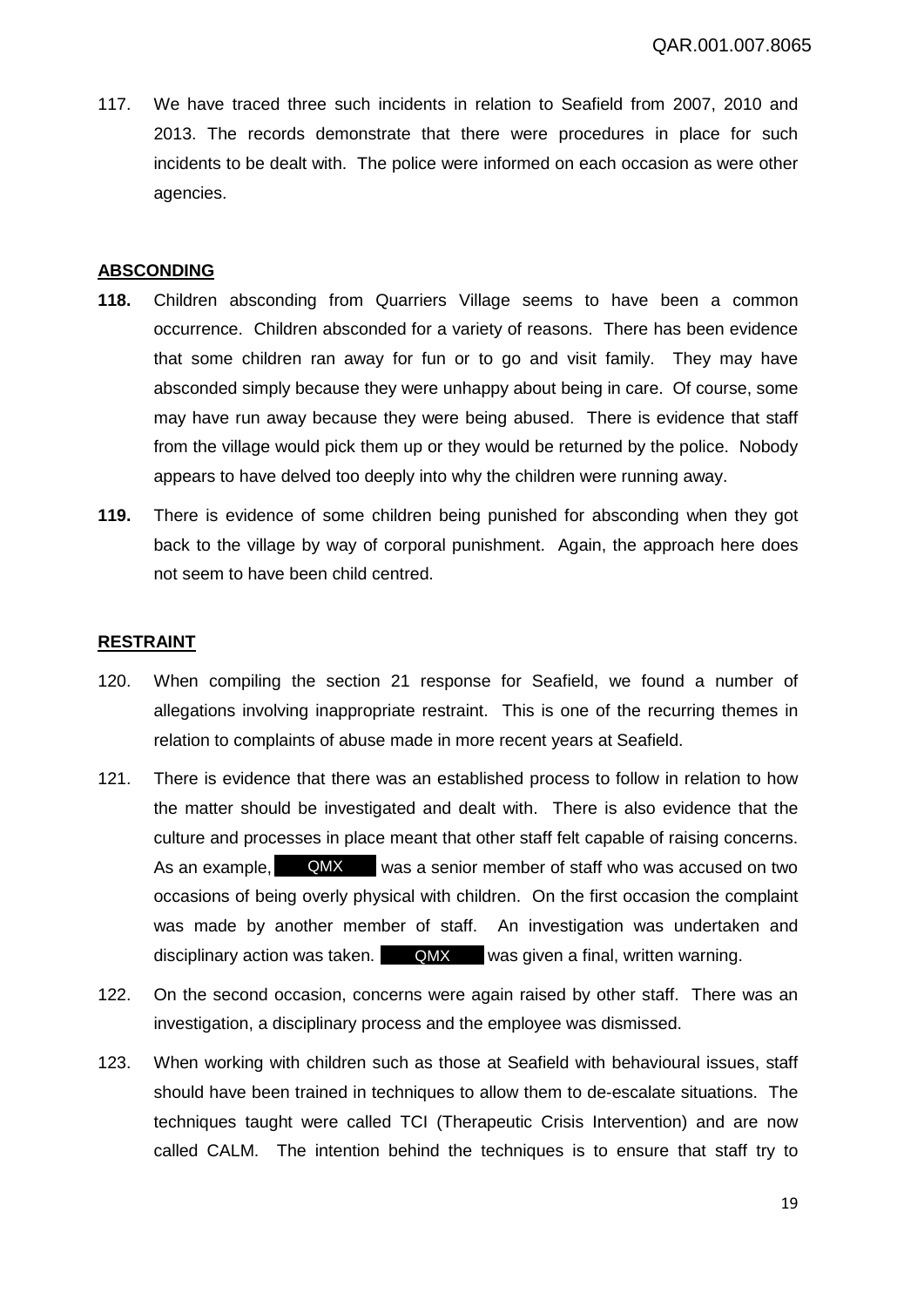117. We have traced three such incidents in relation to Seafield from 2007, 2010 and 2013. The records demonstrate that there were procedures in place for such incidents to be dealt with. The police were informed on each occasion as were other agencies.

#### **ABSCONDING**

- **118.** Children absconding from Quarriers Village seems to have been a common occurrence. Children absconded for a variety of reasons. There has been evidence that some children ran away for fun or to go and visit family. They may have absconded simply because they were unhappy about being in care. Of course, some may have run away because they were being abused. There is evidence that staff from the village would pick them up or they would be returned by the police. Nobody appears to have delved too deeply into why the children were running away.
- **119.** There is evidence of some children being punished for absconding when they got back to the village by way of corporal punishment. Again, the approach here does not seem to have been child centred.

# **RESTRAINT**

- 120. When compiling the section 21 response for Seafield, we found a number of allegations involving inappropriate restraint. This is one of the recurring themes in relation to complaints of abuse made in more recent years at Seafield.
- 121. There is evidence that there was an established process to follow in relation to how the matter should be investigated and dealt with. There is also evidence that the culture and processes in place meant that other staff felt capable of raising concerns. As an example, QMX was a senior member of staff who was accused on two occasions of being overly physical with children. On the first occasion the complaint was made by another member of staff. An investigation was undertaken and disciplinary action was taken. **QMX** was given a final, written warning.
- 122. On the second occasion, concerns were again raised by other staff. There was an investigation, a disciplinary process and the employee was dismissed.
- 123. When working with children such as those at Seafield with behavioural issues, staff should have been trained in techniques to allow them to de-escalate situations. The techniques taught were called TCI (Therapeutic Crisis Intervention) and are now called CALM. The intention behind the techniques is to ensure that staff try to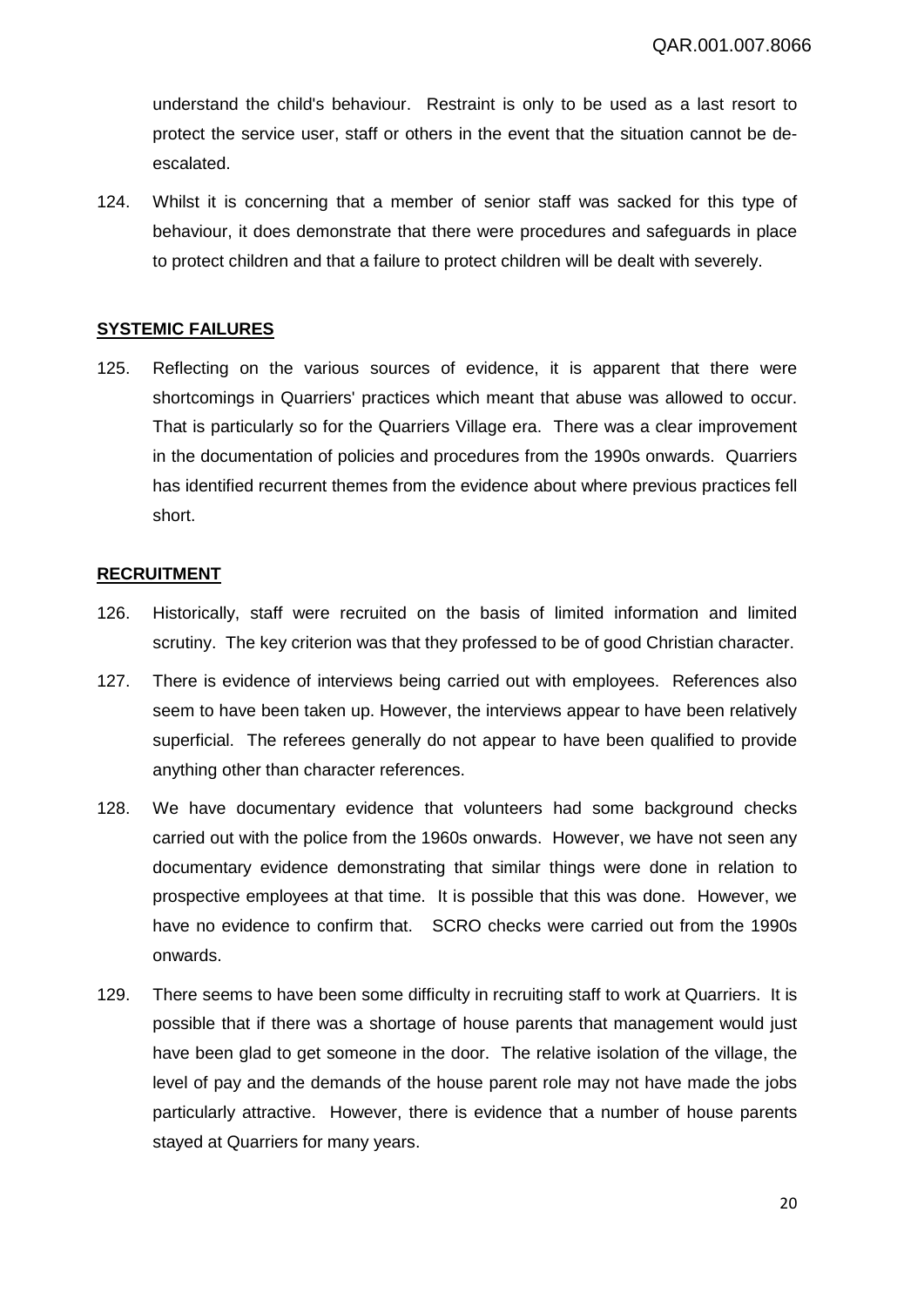understand the child's behaviour. Restraint is only to be used as a last resort to protect the service user, staff or others in the event that the situation cannot be deescalated.

124. Whilst it is concerning that a member of senior staff was sacked for this type of behaviour, it does demonstrate that there were procedures and safeguards in place to protect children and that a failure to protect children will be dealt with severely.

# **SYSTEMIC FAILURES**

125. Reflecting on the various sources of evidence, it is apparent that there were shortcomings in Quarriers' practices which meant that abuse was allowed to occur. That is particularly so for the Quarriers Village era. There was a clear improvement in the documentation of policies and procedures from the 1990s onwards. Quarriers has identified recurrent themes from the evidence about where previous practices fell short.

#### **RECRUITMENT**

- 126. Historically, staff were recruited on the basis of limited information and limited scrutiny. The key criterion was that they professed to be of good Christian character.
- 127. There is evidence of interviews being carried out with employees. References also seem to have been taken up. However, the interviews appear to have been relatively superficial. The referees generally do not appear to have been qualified to provide anything other than character references.
- 128. We have documentary evidence that volunteers had some background checks carried out with the police from the 1960s onwards. However, we have not seen any documentary evidence demonstrating that similar things were done in relation to prospective employees at that time. It is possible that this was done. However, we have no evidence to confirm that. SCRO checks were carried out from the 1990s onwards.
- 129. There seems to have been some difficulty in recruiting staff to work at Quarriers. It is possible that if there was a shortage of house parents that management would just have been glad to get someone in the door. The relative isolation of the village, the level of pay and the demands of the house parent role may not have made the jobs particularly attractive. However, there is evidence that a number of house parents stayed at Quarriers for many years.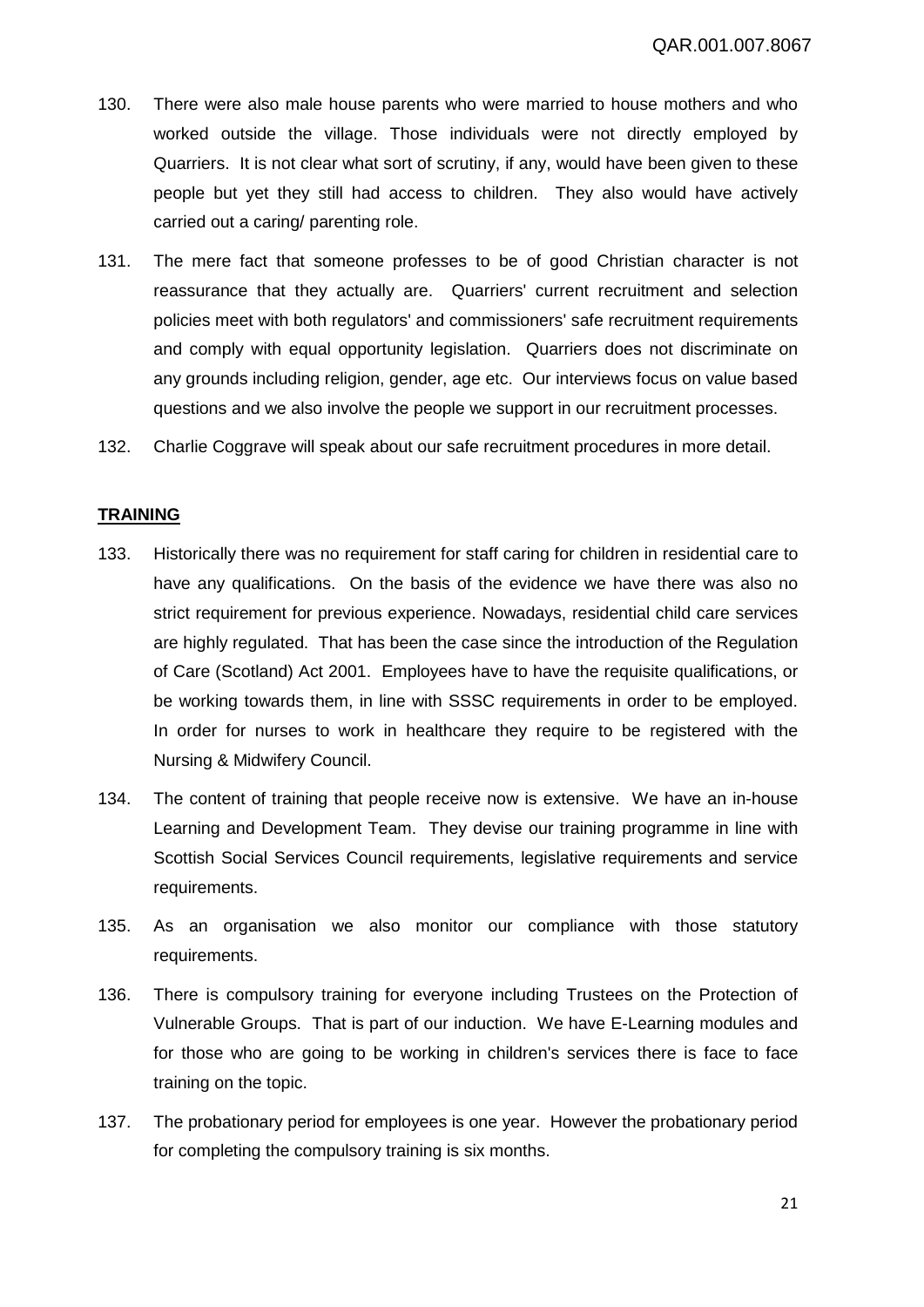- 130. There were also male house parents who were married to house mothers and who worked outside the village. Those individuals were not directly employed by Quarriers. It is not clear what sort of scrutiny, if any, would have been given to these people but yet they still had access to children. They also would have actively carried out a caring/ parenting role.
- 131. The mere fact that someone professes to be of good Christian character is not reassurance that they actually are. Quarriers' current recruitment and selection policies meet with both regulators' and commissioners' safe recruitment requirements and comply with equal opportunity legislation. Quarriers does not discriminate on any grounds including religion, gender, age etc. Our interviews focus on value based questions and we also involve the people we support in our recruitment processes.
- 132. Charlie Coggrave will speak about our safe recruitment procedures in more detail.

#### **TRAINING**

- 133. Historically there was no requirement for staff caring for children in residential care to have any qualifications. On the basis of the evidence we have there was also no strict requirement for previous experience. Nowadays, residential child care services are highly regulated. That has been the case since the introduction of the Regulation of Care (Scotland) Act 2001. Employees have to have the requisite qualifications, or be working towards them, in line with SSSC requirements in order to be employed. In order for nurses to work in healthcare they require to be registered with the Nursing & Midwifery Council.
- 134. The content of training that people receive now is extensive. We have an in-house Learning and Development Team. They devise our training programme in line with Scottish Social Services Council requirements, legislative requirements and service requirements.
- 135. As an organisation we also monitor our compliance with those statutory requirements.
- 136. There is compulsory training for everyone including Trustees on the Protection of Vulnerable Groups. That is part of our induction. We have E-Learning modules and for those who are going to be working in children's services there is face to face training on the topic.
- 137. The probationary period for employees is one year. However the probationary period for completing the compulsory training is six months.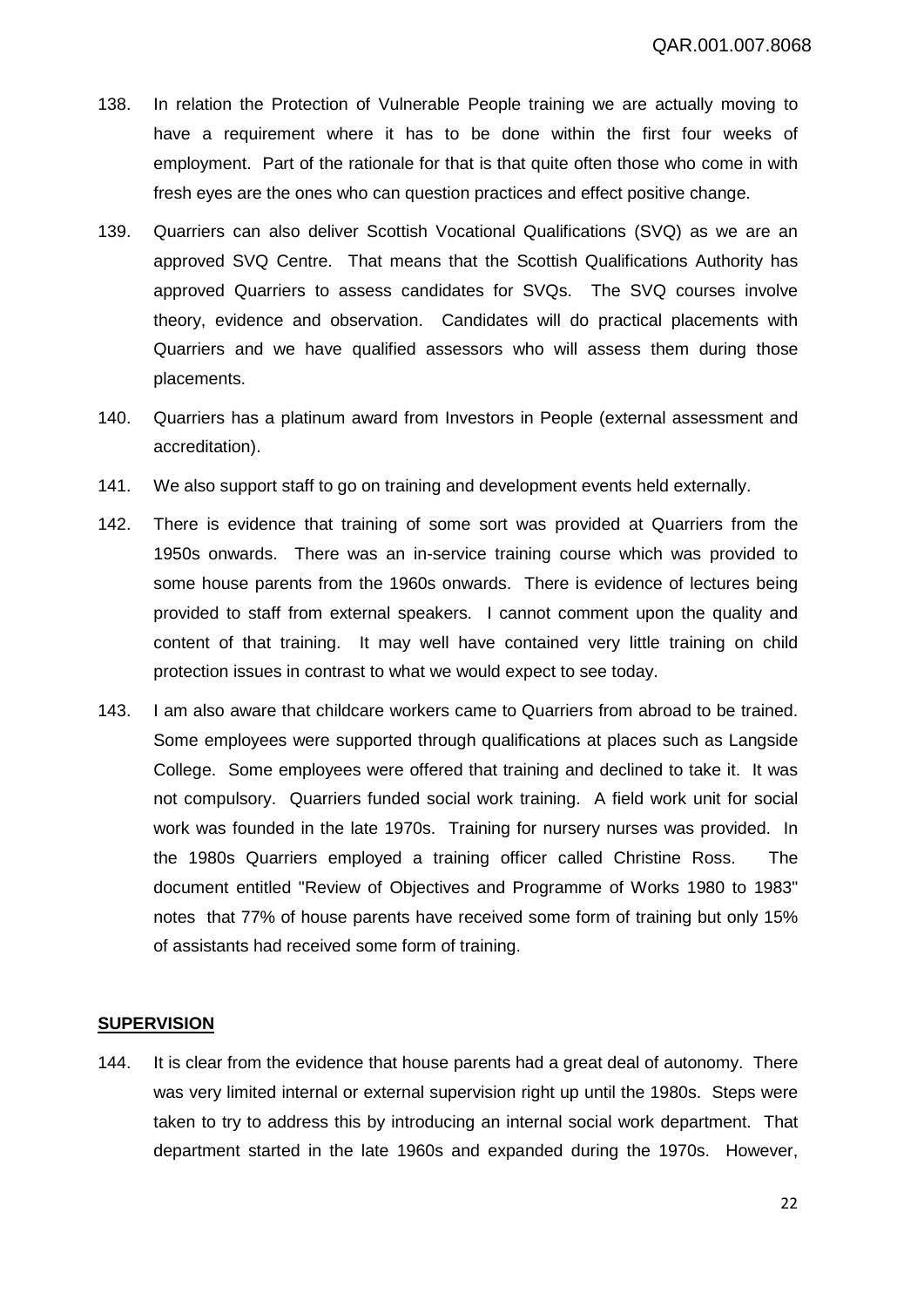- 138. In relation the Protection of Vulnerable People training we are actually moving to have a requirement where it has to be done within the first four weeks of employment. Part of the rationale for that is that quite often those who come in with fresh eyes are the ones who can question practices and effect positive change.
- 139. Quarriers can also deliver Scottish Vocational Qualifications (SVQ) as we are an approved SVQ Centre. That means that the Scottish Qualifications Authority has approved Quarriers to assess candidates for SVQs. The SVQ courses involve theory, evidence and observation. Candidates will do practical placements with Quarriers and we have qualified assessors who will assess them during those placements.
- 140. Quarriers has a platinum award from Investors in People (external assessment and accreditation).
- 141. We also support staff to go on training and development events held externally.
- 142. There is evidence that training of some sort was provided at Quarriers from the 1950s onwards. There was an in-service training course which was provided to some house parents from the 1960s onwards. There is evidence of lectures being provided to staff from external speakers. I cannot comment upon the quality and content of that training. It may well have contained very little training on child protection issues in contrast to what we would expect to see today.
- 143. I am also aware that childcare workers came to Quarriers from abroad to be trained. Some employees were supported through qualifications at places such as Langside College. Some employees were offered that training and declined to take it. It was not compulsory. Quarriers funded social work training. A field work unit for social work was founded in the late 1970s. Training for nursery nurses was provided. In the 1980s Quarriers employed a training officer called Christine Ross. The document entitled "Review of Objectives and Programme of Works 1980 to 1983" notes that 77% of house parents have received some form of training but only 15% of assistants had received some form of training.

#### **SUPERVISION**

144. It is clear from the evidence that house parents had a great deal of autonomy. There was very limited internal or external supervision right up until the 1980s. Steps were taken to try to address this by introducing an internal social work department. That department started in the late 1960s and expanded during the 1970s. However,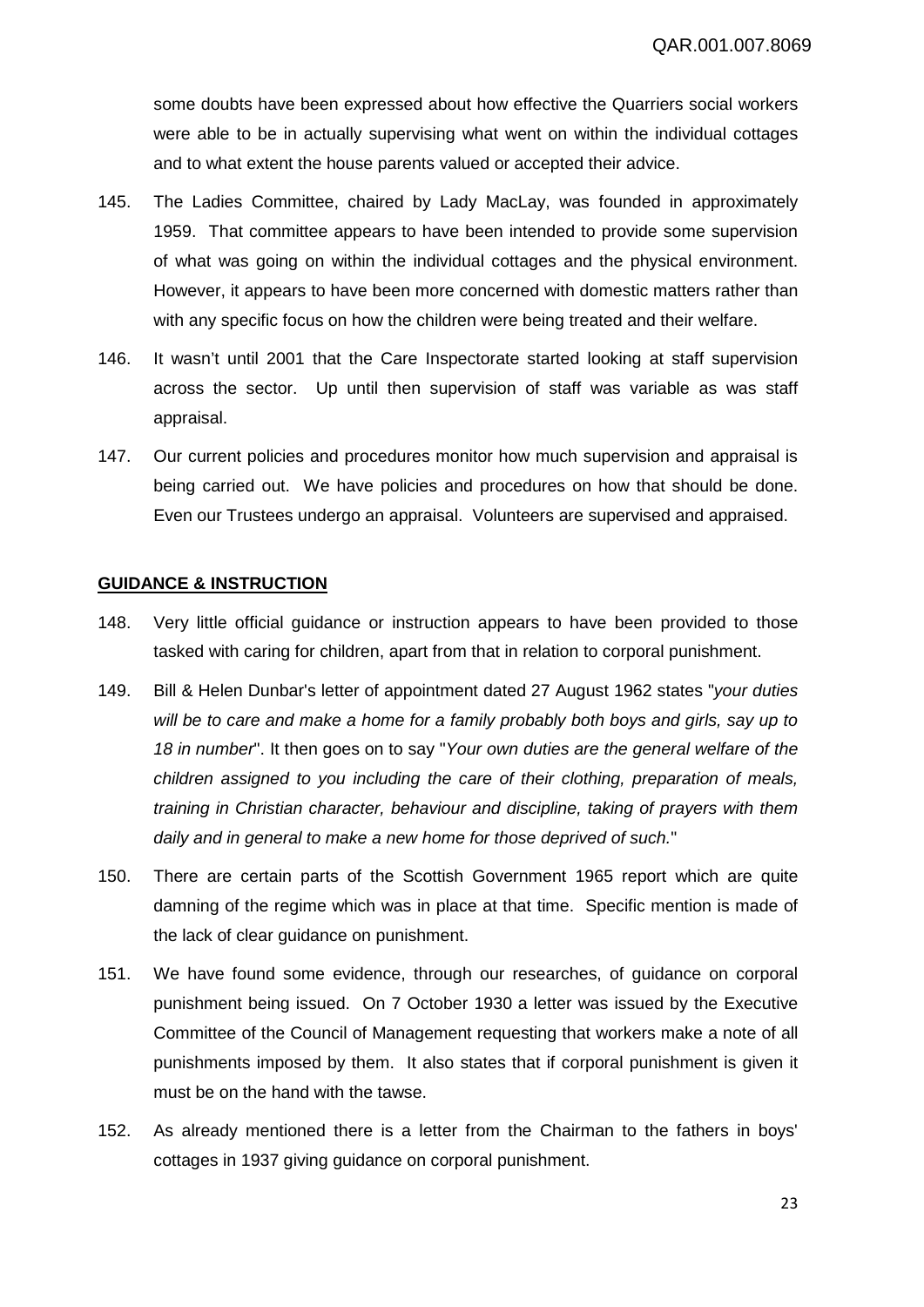some doubts have been expressed about how effective the Quarriers social workers were able to be in actually supervising what went on within the individual cottages and to what extent the house parents valued or accepted their advice.

- 145. The Ladies Committee, chaired by Lady MacLay, was founded in approximately 1959. That committee appears to have been intended to provide some supervision of what was going on within the individual cottages and the physical environment. However, it appears to have been more concerned with domestic matters rather than with any specific focus on how the children were being treated and their welfare.
- 146. It wasn't until 2001 that the Care Inspectorate started looking at staff supervision across the sector. Up until then supervision of staff was variable as was staff appraisal.
- 147. Our current policies and procedures monitor how much supervision and appraisal is being carried out. We have policies and procedures on how that should be done. Even our Trustees undergo an appraisal. Volunteers are supervised and appraised.

#### **GUIDANCE & INSTRUCTION**

- 148. Very little official guidance or instruction appears to have been provided to those tasked with caring for children, apart from that in relation to corporal punishment.
- 149. Bill & Helen Dunbar's letter of appointment dated 27 August 1962 states "*your duties will be to care and make a home for a family probably both boys and girls, say up to 18 in number*". It then goes on to say "*Your own duties are the general welfare of the children assigned to you including the care of their clothing, preparation of meals, training in Christian character, behaviour and discipline, taking of prayers with them daily and in general to make a new home for those deprived of such.*"
- 150. There are certain parts of the Scottish Government 1965 report which are quite damning of the regime which was in place at that time. Specific mention is made of the lack of clear guidance on punishment.
- 151. We have found some evidence, through our researches, of guidance on corporal punishment being issued. On 7 October 1930 a letter was issued by the Executive Committee of the Council of Management requesting that workers make a note of all punishments imposed by them. It also states that if corporal punishment is given it must be on the hand with the tawse.
- 152. As already mentioned there is a letter from the Chairman to the fathers in boys' cottages in 1937 giving guidance on corporal punishment.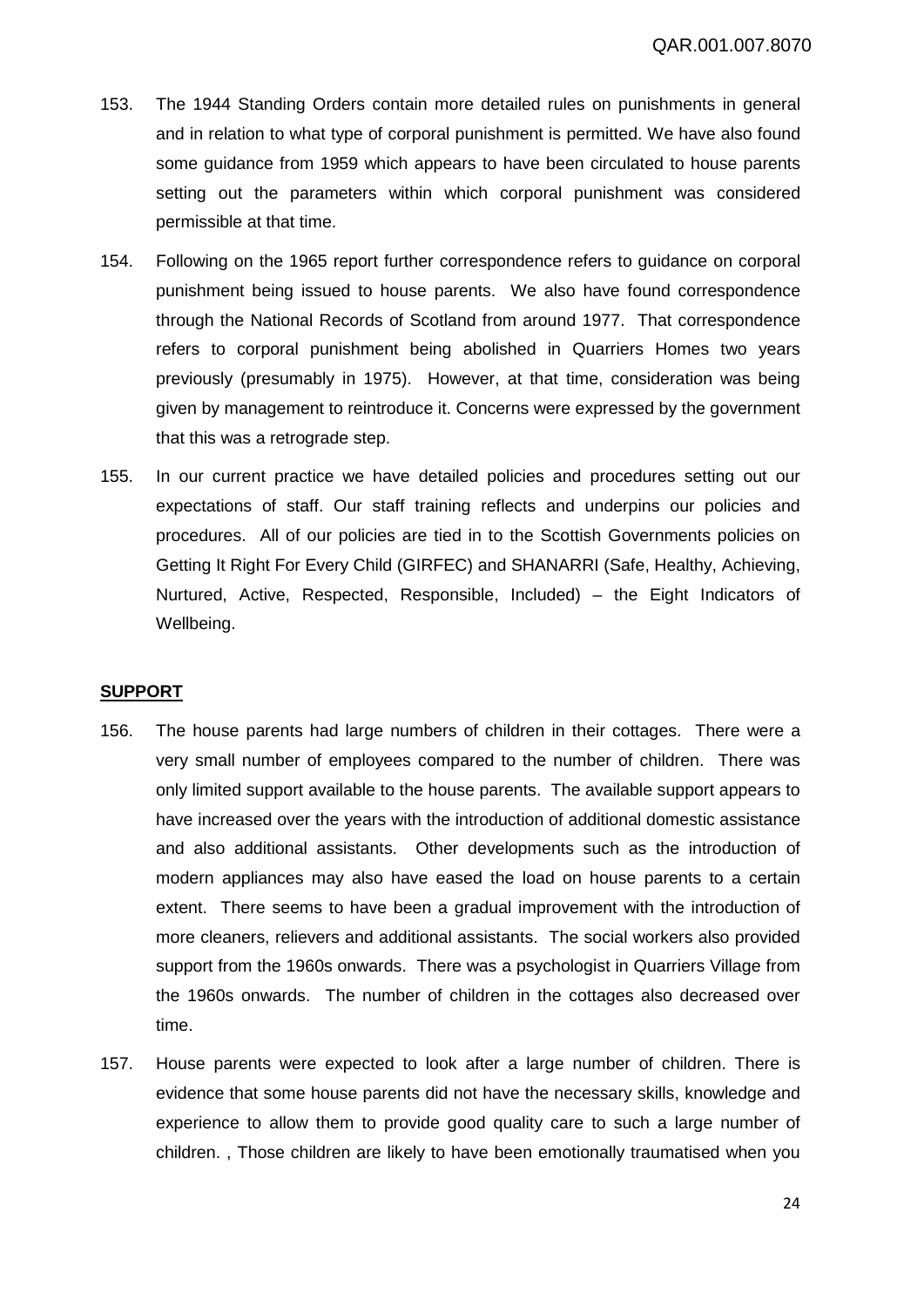- 153. The 1944 Standing Orders contain more detailed rules on punishments in general and in relation to what type of corporal punishment is permitted. We have also found some guidance from 1959 which appears to have been circulated to house parents setting out the parameters within which corporal punishment was considered permissible at that time.
- 154. Following on the 1965 report further correspondence refers to guidance on corporal punishment being issued to house parents. We also have found correspondence through the National Records of Scotland from around 1977. That correspondence refers to corporal punishment being abolished in Quarriers Homes two years previously (presumably in 1975). However, at that time, consideration was being given by management to reintroduce it. Concerns were expressed by the government that this was a retrograde step.
- 155. In our current practice we have detailed policies and procedures setting out our expectations of staff. Our staff training reflects and underpins our policies and procedures. All of our policies are tied in to the Scottish Governments policies on Getting It Right For Every Child (GIRFEC) and SHANARRI (Safe, Healthy, Achieving, Nurtured, Active, Respected, Responsible, Included) – the Eight Indicators of Wellbeing.

#### **SUPPORT**

- 156. The house parents had large numbers of children in their cottages. There were a very small number of employees compared to the number of children. There was only limited support available to the house parents. The available support appears to have increased over the years with the introduction of additional domestic assistance and also additional assistants. Other developments such as the introduction of modern appliances may also have eased the load on house parents to a certain extent. There seems to have been a gradual improvement with the introduction of more cleaners, relievers and additional assistants. The social workers also provided support from the 1960s onwards. There was a psychologist in Quarriers Village from the 1960s onwards. The number of children in the cottages also decreased over time.
- 157. House parents were expected to look after a large number of children. There is evidence that some house parents did not have the necessary skills, knowledge and experience to allow them to provide good quality care to such a large number of children. , Those children are likely to have been emotionally traumatised when you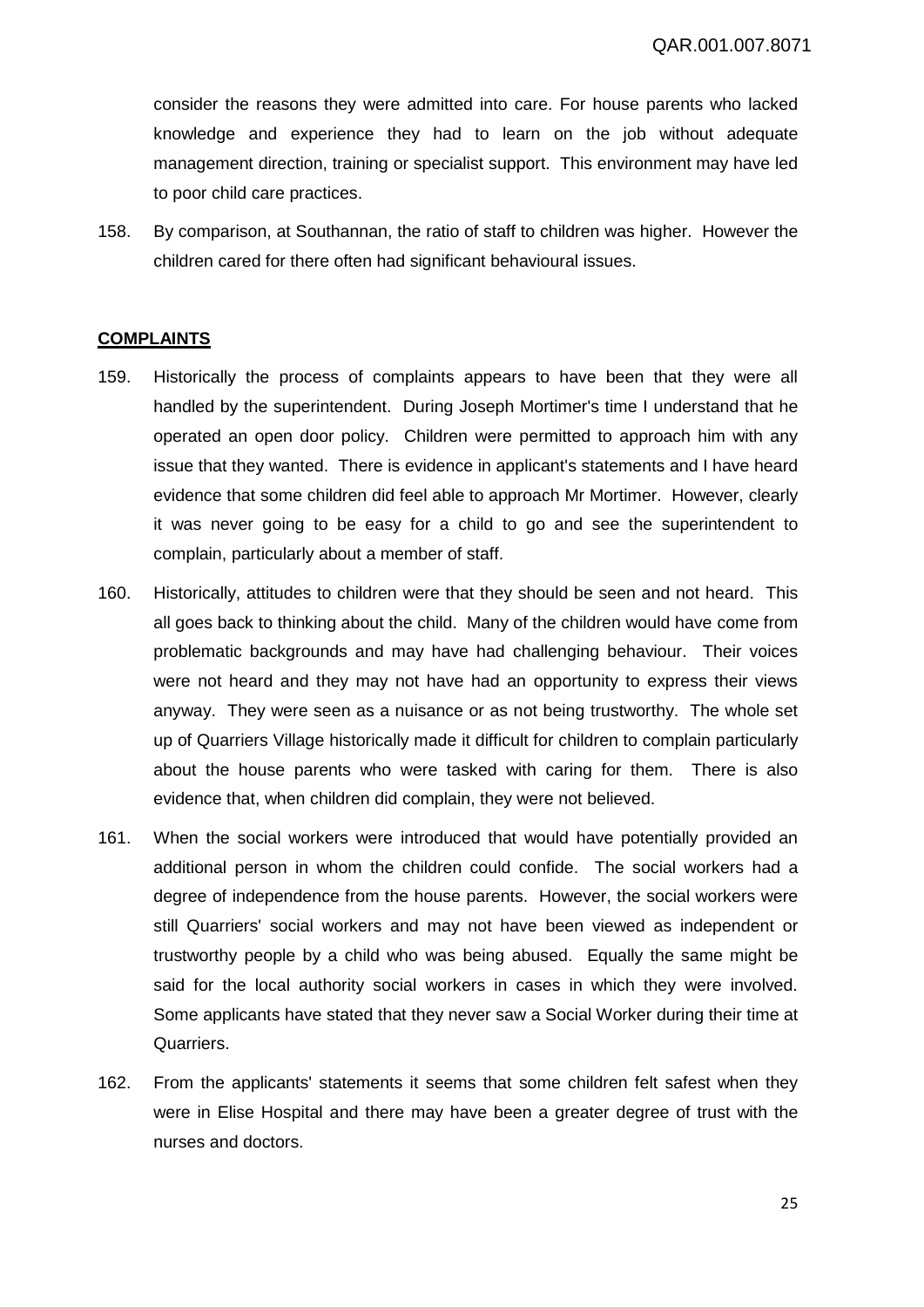consider the reasons they were admitted into care. For house parents who lacked knowledge and experience they had to learn on the job without adequate management direction, training or specialist support. This environment may have led to poor child care practices.

158. By comparison, at Southannan, the ratio of staff to children was higher. However the children cared for there often had significant behavioural issues.

#### **COMPLAINTS**

- 159. Historically the process of complaints appears to have been that they were all handled by the superintendent. During Joseph Mortimer's time I understand that he operated an open door policy. Children were permitted to approach him with any issue that they wanted. There is evidence in applicant's statements and I have heard evidence that some children did feel able to approach Mr Mortimer. However, clearly it was never going to be easy for a child to go and see the superintendent to complain, particularly about a member of staff.
- 160. Historically, attitudes to children were that they should be seen and not heard. This all goes back to thinking about the child. Many of the children would have come from problematic backgrounds and may have had challenging behaviour. Their voices were not heard and they may not have had an opportunity to express their views anyway. They were seen as a nuisance or as not being trustworthy. The whole set up of Quarriers Village historically made it difficult for children to complain particularly about the house parents who were tasked with caring for them. There is also evidence that, when children did complain, they were not believed.
- 161. When the social workers were introduced that would have potentially provided an additional person in whom the children could confide. The social workers had a degree of independence from the house parents. However, the social workers were still Quarriers' social workers and may not have been viewed as independent or trustworthy people by a child who was being abused. Equally the same might be said for the local authority social workers in cases in which they were involved. Some applicants have stated that they never saw a Social Worker during their time at Quarriers.
- 162. From the applicants' statements it seems that some children felt safest when they were in Elise Hospital and there may have been a greater degree of trust with the nurses and doctors.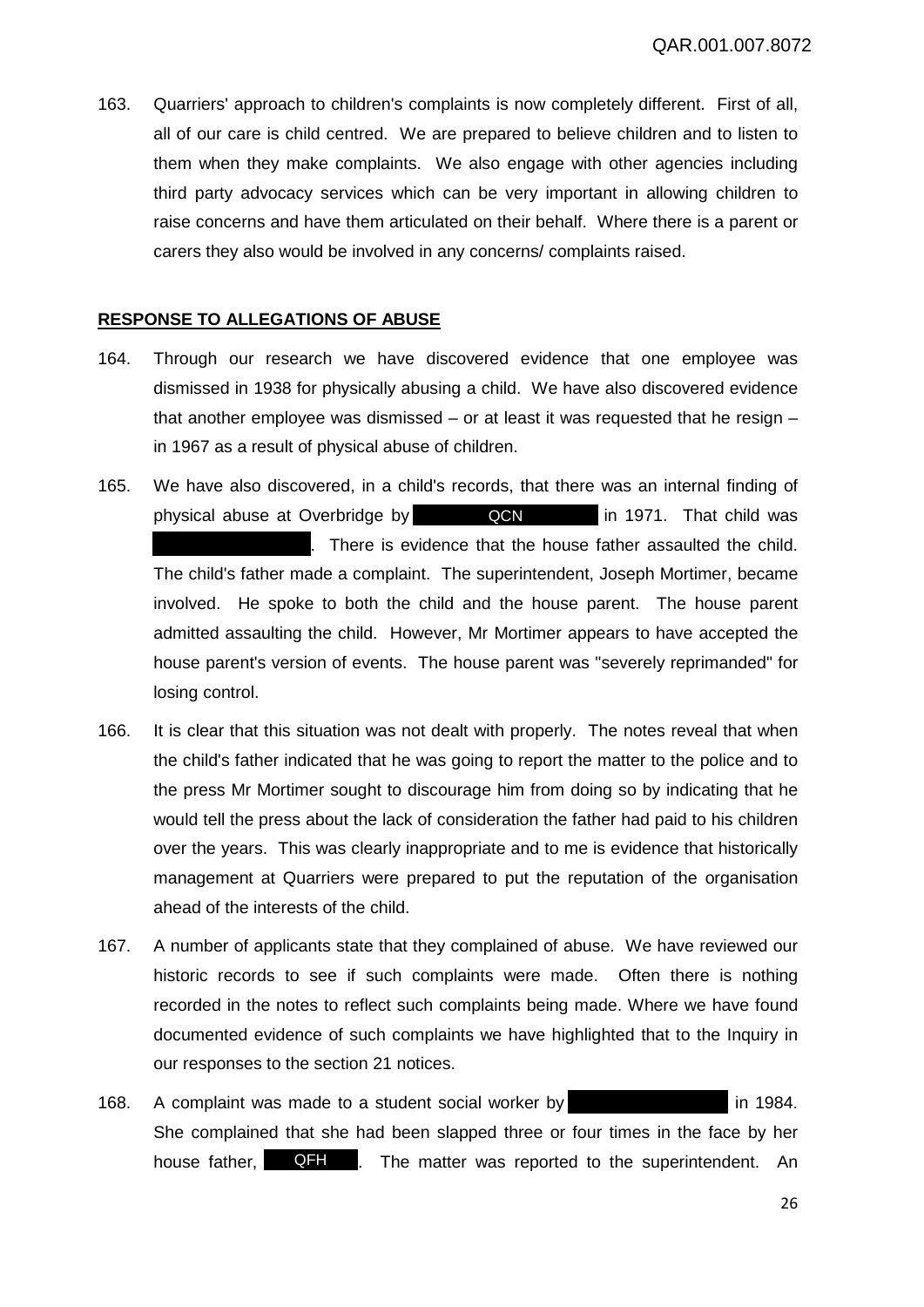163. Quarriers' approach to children's complaints is now completely different. First of all, all of our care is child centred. We are prepared to believe children and to listen to them when they make complaints. We also engage with other agencies including third party advocacy services which can be very important in allowing children to raise concerns and have them articulated on their behalf. Where there is a parent or carers they also would be involved in any concerns/ complaints raised.

# **RESPONSE TO ALLEGATIONS OF ABUSE**

- 164. Through our research we have discovered evidence that one employee was dismissed in 1938 for physically abusing a child. We have also discovered evidence that another employee was dismissed  $-$  or at least it was requested that he resign  $$ in 1967 as a result of physical abuse of children.
- 165. We have also discovered, in a child's records, that there was an internal finding of physical abuse at Overbridge by **QCN** in 1971. That child was . There is evidence that the house father assaulted the child. The child's father made a complaint. The superintendent, Joseph Mortimer, became involved. He spoke to both the child and the house parent. The house parent admitted assaulting the child. However, Mr Mortimer appears to have accepted the house parent's version of events. The house parent was "severely reprimanded" for losing control.
- 166. It is clear that this situation was not dealt with properly. The notes reveal that when the child's father indicated that he was going to report the matter to the police and to the press Mr Mortimer sought to discourage him from doing so by indicating that he would tell the press about the lack of consideration the father had paid to his children over the years. This was clearly inappropriate and to me is evidence that historically management at Quarriers were prepared to put the reputation of the organisation ahead of the interests of the child.
- 167. A number of applicants state that they complained of abuse. We have reviewed our historic records to see if such complaints were made. Often there is nothing recorded in the notes to reflect such complaints being made. Where we have found documented evidence of such complaints we have highlighted that to the Inquiry in our responses to the section 21 notices.
- 168. A complaint was made to a student social worker by in 1984. She complained that she had been slapped three or four times in the face by her house father, **QFH** . The matter was reported to the superintendent. An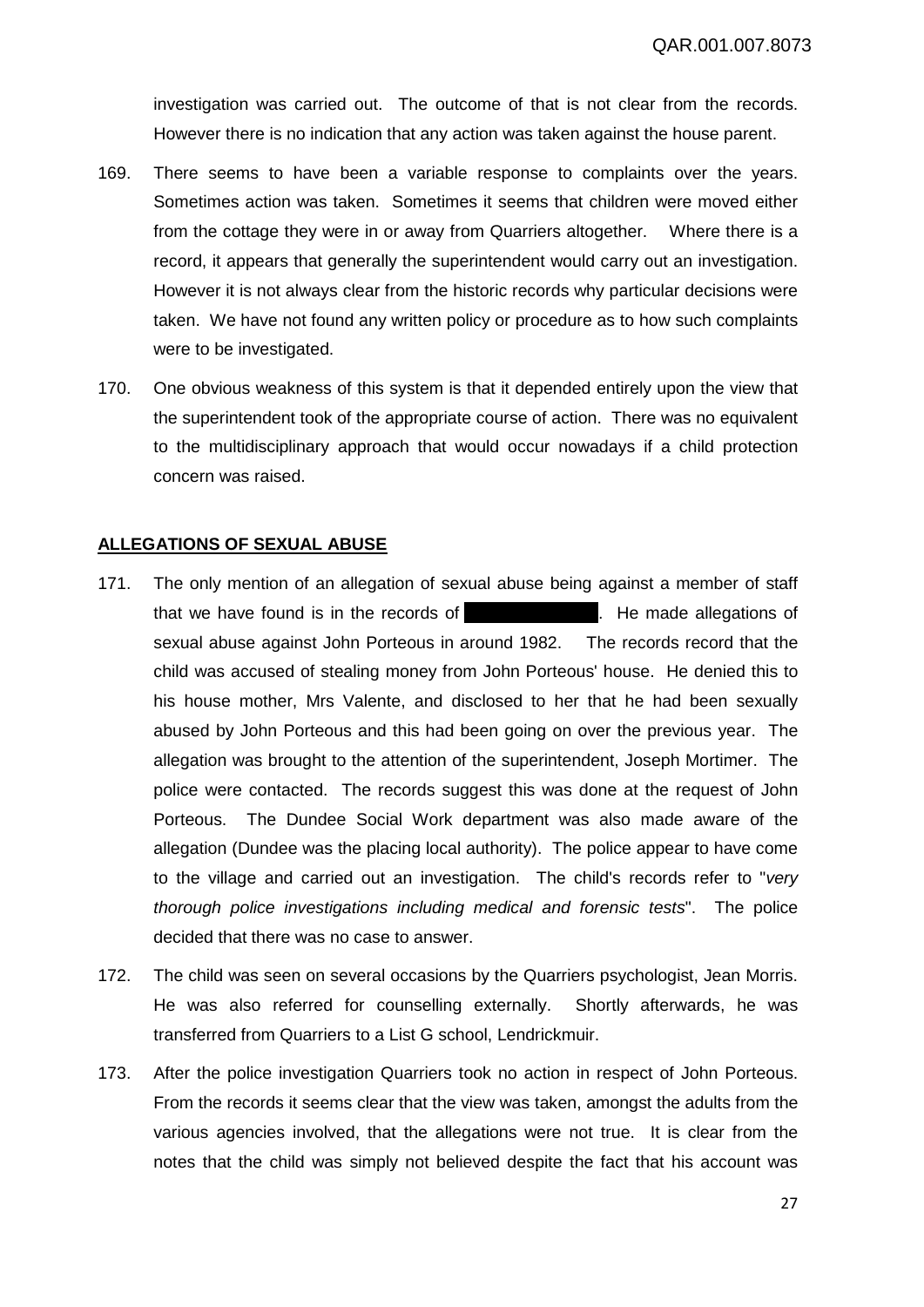investigation was carried out. The outcome of that is not clear from the records. However there is no indication that any action was taken against the house parent.

- 169. There seems to have been a variable response to complaints over the years. Sometimes action was taken. Sometimes it seems that children were moved either from the cottage they were in or away from Quarriers altogether. Where there is a record, it appears that generally the superintendent would carry out an investigation. However it is not always clear from the historic records why particular decisions were taken. We have not found any written policy or procedure as to how such complaints were to be investigated.
- 170. One obvious weakness of this system is that it depended entirely upon the view that the superintendent took of the appropriate course of action. There was no equivalent to the multidisciplinary approach that would occur nowadays if a child protection concern was raised.

# **ALLEGATIONS OF SEXUAL ABUSE**

- 171. The only mention of an allegation of sexual abuse being against a member of staff that we have found is in the records of **the contact of the made allegations of** sexual abuse against John Porteous in around 1982. The records record that the child was accused of stealing money from John Porteous' house. He denied this to his house mother, Mrs Valente, and disclosed to her that he had been sexually abused by John Porteous and this had been going on over the previous year. The allegation was brought to the attention of the superintendent, Joseph Mortimer. The police were contacted. The records suggest this was done at the request of John Porteous. The Dundee Social Work department was also made aware of the allegation (Dundee was the placing local authority). The police appear to have come to the village and carried out an investigation. The child's records refer to "*very thorough police investigations including medical and forensic tests*". The police decided that there was no case to answer.
- 172. The child was seen on several occasions by the Quarriers psychologist, Jean Morris. He was also referred for counselling externally. Shortly afterwards, he was transferred from Quarriers to a List G school, Lendrickmuir.
- 173. After the police investigation Quarriers took no action in respect of John Porteous. From the records it seems clear that the view was taken, amongst the adults from the various agencies involved, that the allegations were not true. It is clear from the notes that the child was simply not believed despite the fact that his account was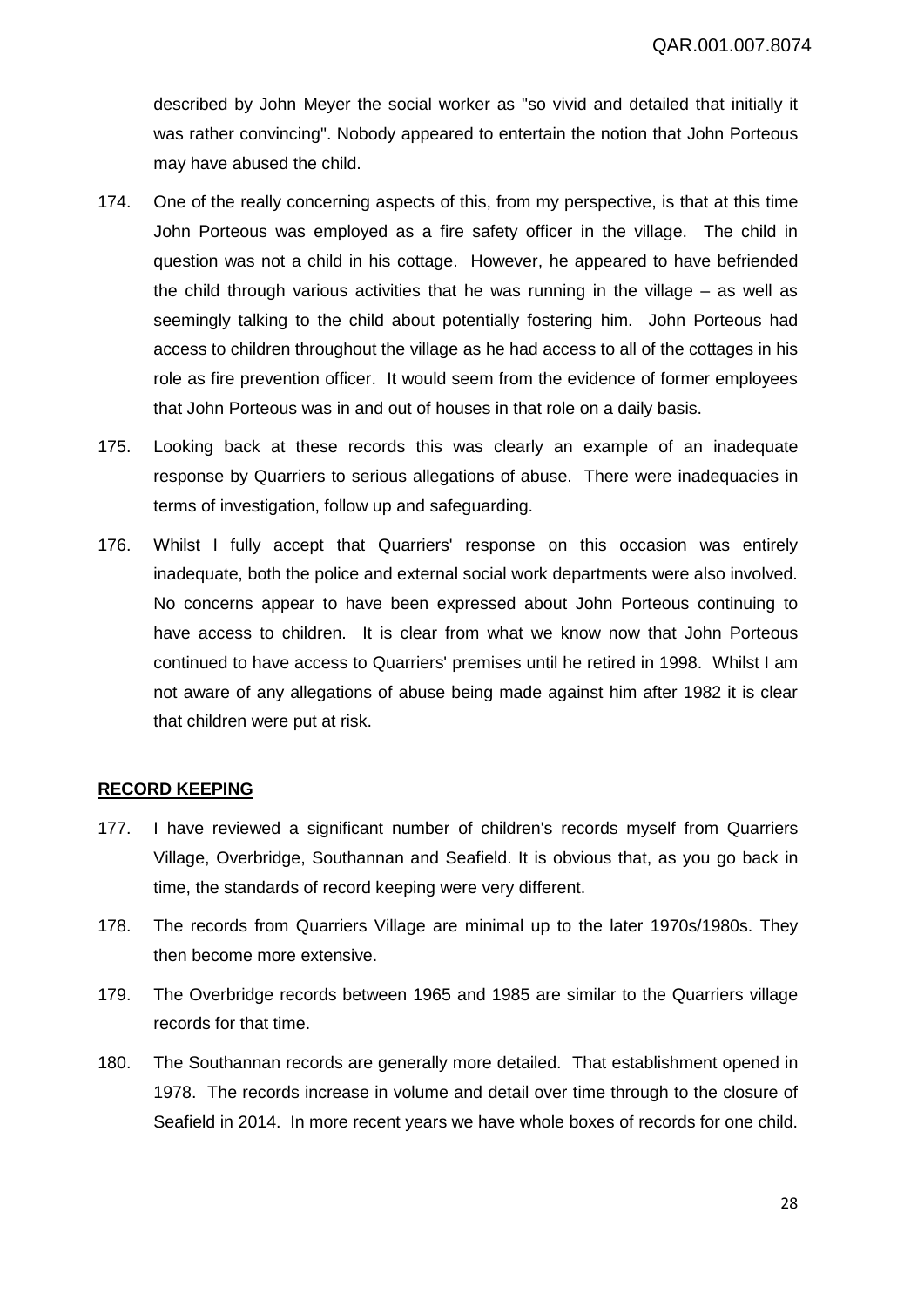described by John Meyer the social worker as "so vivid and detailed that initially it was rather convincing". Nobody appeared to entertain the notion that John Porteous may have abused the child.

- 174. One of the really concerning aspects of this, from my perspective, is that at this time John Porteous was employed as a fire safety officer in the village. The child in question was not a child in his cottage. However, he appeared to have befriended the child through various activities that he was running in the village – as well as seemingly talking to the child about potentially fostering him. John Porteous had access to children throughout the village as he had access to all of the cottages in his role as fire prevention officer. It would seem from the evidence of former employees that John Porteous was in and out of houses in that role on a daily basis.
- 175. Looking back at these records this was clearly an example of an inadequate response by Quarriers to serious allegations of abuse. There were inadequacies in terms of investigation, follow up and safeguarding.
- 176. Whilst I fully accept that Quarriers' response on this occasion was entirely inadequate, both the police and external social work departments were also involved. No concerns appear to have been expressed about John Porteous continuing to have access to children. It is clear from what we know now that John Porteous continued to have access to Quarriers' premises until he retired in 1998. Whilst I am not aware of any allegations of abuse being made against him after 1982 it is clear that children were put at risk.

# **RECORD KEEPING**

- 177. I have reviewed a significant number of children's records myself from Quarriers Village, Overbridge, Southannan and Seafield. It is obvious that, as you go back in time, the standards of record keeping were very different.
- 178. The records from Quarriers Village are minimal up to the later 1970s/1980s. They then become more extensive.
- 179. The Overbridge records between 1965 and 1985 are similar to the Quarriers village records for that time.
- 180. The Southannan records are generally more detailed. That establishment opened in 1978. The records increase in volume and detail over time through to the closure of Seafield in 2014. In more recent years we have whole boxes of records for one child.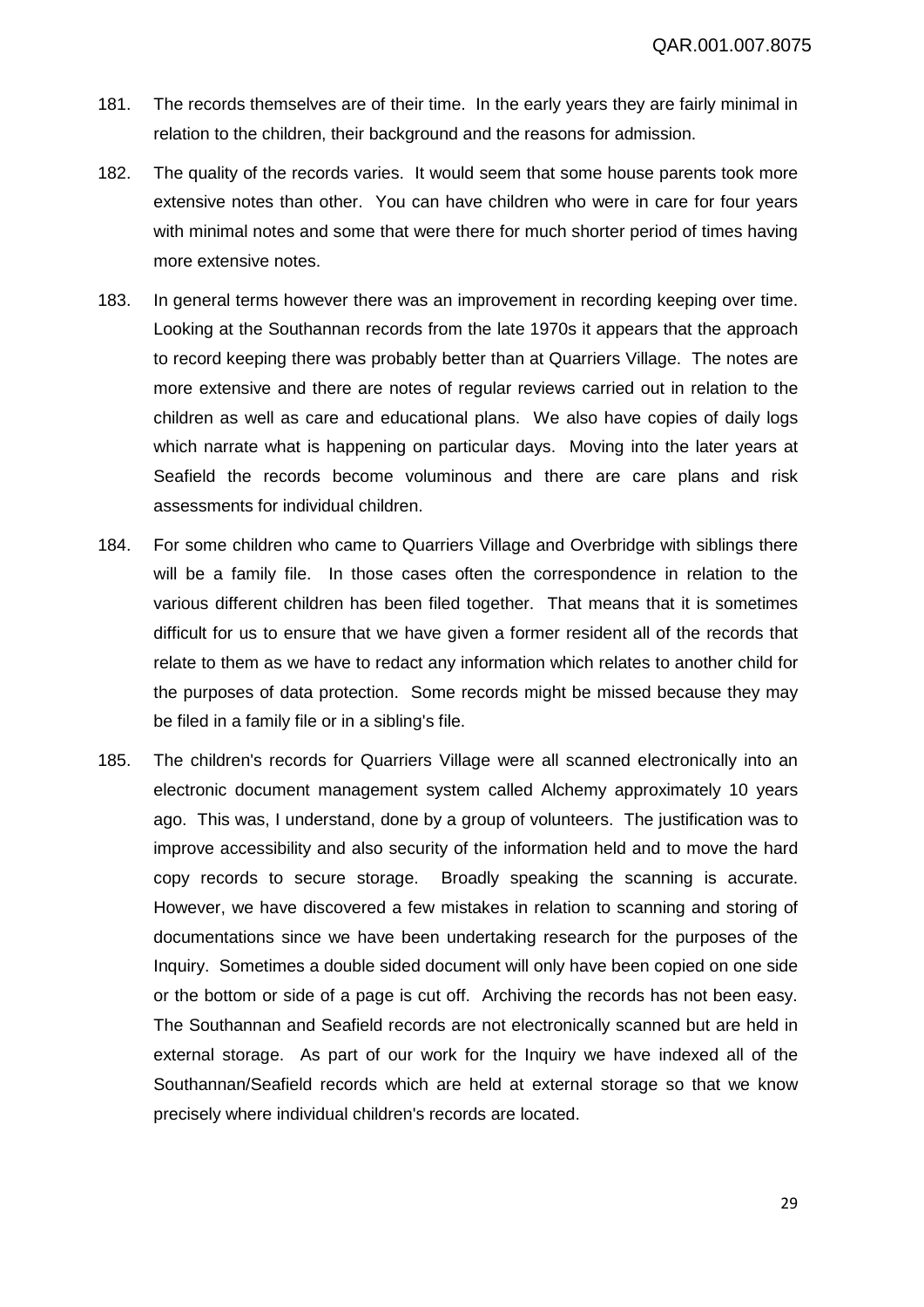- 181. The records themselves are of their time. In the early years they are fairly minimal in relation to the children, their background and the reasons for admission.
- 182. The quality of the records varies. It would seem that some house parents took more extensive notes than other. You can have children who were in care for four years with minimal notes and some that were there for much shorter period of times having more extensive notes.
- 183. In general terms however there was an improvement in recording keeping over time. Looking at the Southannan records from the late 1970s it appears that the approach to record keeping there was probably better than at Quarriers Village. The notes are more extensive and there are notes of regular reviews carried out in relation to the children as well as care and educational plans. We also have copies of daily logs which narrate what is happening on particular days. Moving into the later years at Seafield the records become voluminous and there are care plans and risk assessments for individual children.
- 184. For some children who came to Quarriers Village and Overbridge with siblings there will be a family file. In those cases often the correspondence in relation to the various different children has been filed together. That means that it is sometimes difficult for us to ensure that we have given a former resident all of the records that relate to them as we have to redact any information which relates to another child for the purposes of data protection. Some records might be missed because they may be filed in a family file or in a sibling's file.
- 185. The children's records for Quarriers Village were all scanned electronically into an electronic document management system called Alchemy approximately 10 years ago. This was, I understand, done by a group of volunteers. The justification was to improve accessibility and also security of the information held and to move the hard copy records to secure storage. Broadly speaking the scanning is accurate. However, we have discovered a few mistakes in relation to scanning and storing of documentations since we have been undertaking research for the purposes of the Inquiry. Sometimes a double sided document will only have been copied on one side or the bottom or side of a page is cut off. Archiving the records has not been easy. The Southannan and Seafield records are not electronically scanned but are held in external storage. As part of our work for the Inquiry we have indexed all of the Southannan/Seafield records which are held at external storage so that we know precisely where individual children's records are located.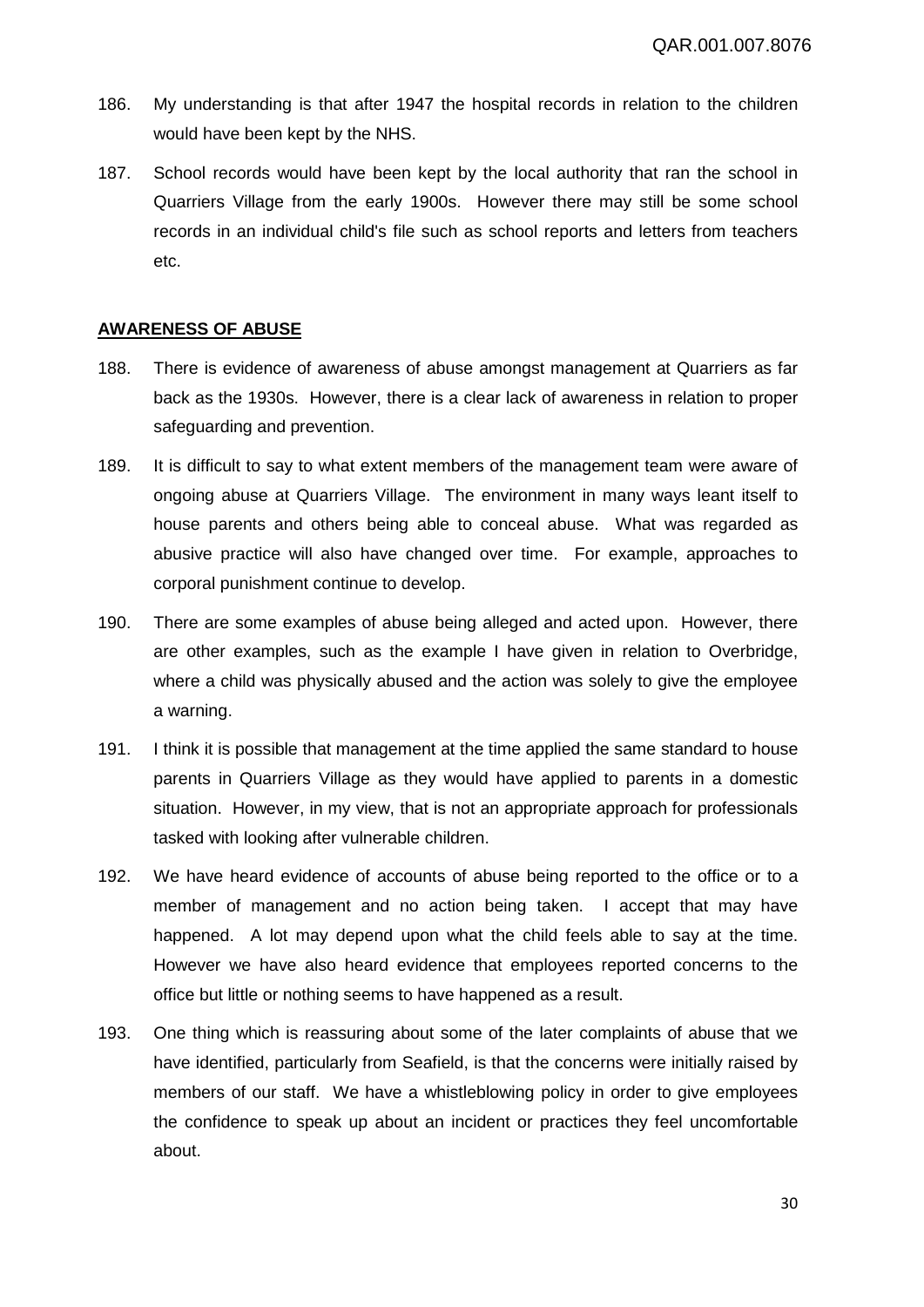- 186. My understanding is that after 1947 the hospital records in relation to the children would have been kept by the NHS.
- 187. School records would have been kept by the local authority that ran the school in Quarriers Village from the early 1900s. However there may still be some school records in an individual child's file such as school reports and letters from teachers etc.

# **AWARENESS OF ABUSE**

- 188. There is evidence of awareness of abuse amongst management at Quarriers as far back as the 1930s. However, there is a clear lack of awareness in relation to proper safeguarding and prevention.
- 189. It is difficult to say to what extent members of the management team were aware of ongoing abuse at Quarriers Village. The environment in many ways leant itself to house parents and others being able to conceal abuse. What was regarded as abusive practice will also have changed over time. For example, approaches to corporal punishment continue to develop.
- 190. There are some examples of abuse being alleged and acted upon. However, there are other examples, such as the example I have given in relation to Overbridge, where a child was physically abused and the action was solely to give the employee a warning.
- 191. I think it is possible that management at the time applied the same standard to house parents in Quarriers Village as they would have applied to parents in a domestic situation. However, in my view, that is not an appropriate approach for professionals tasked with looking after vulnerable children.
- 192. We have heard evidence of accounts of abuse being reported to the office or to a member of management and no action being taken. I accept that may have happened. A lot may depend upon what the child feels able to say at the time. However we have also heard evidence that employees reported concerns to the office but little or nothing seems to have happened as a result.
- 193. One thing which is reassuring about some of the later complaints of abuse that we have identified, particularly from Seafield, is that the concerns were initially raised by members of our staff. We have a whistleblowing policy in order to give employees the confidence to speak up about an incident or practices they feel uncomfortable about.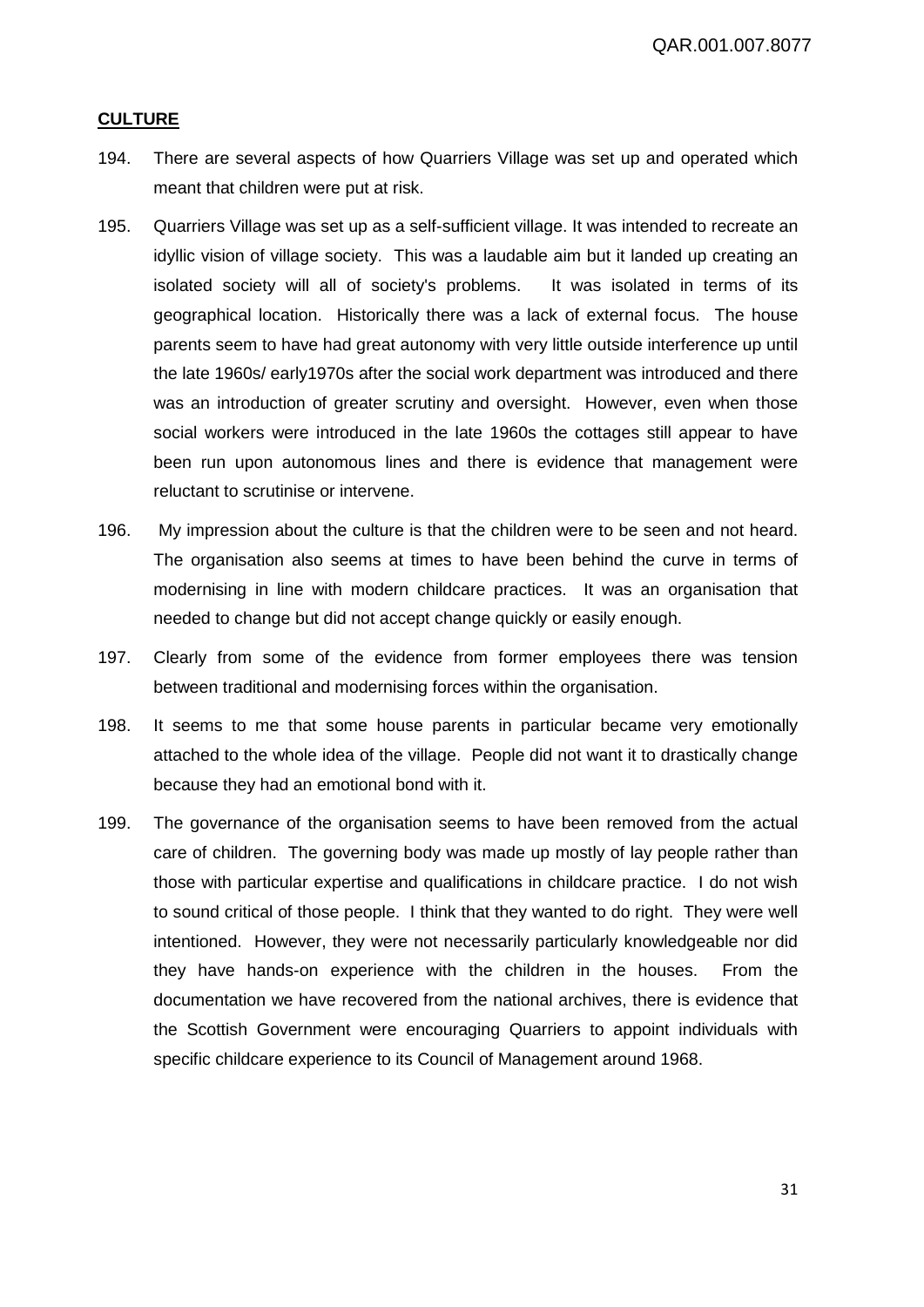# **CULTURE**

- 194. There are several aspects of how Quarriers Village was set up and operated which meant that children were put at risk.
- 195. Quarriers Village was set up as a self-sufficient village. It was intended to recreate an idyllic vision of village society. This was a laudable aim but it landed up creating an isolated society will all of society's problems. It was isolated in terms of its geographical location. Historically there was a lack of external focus. The house parents seem to have had great autonomy with very little outside interference up until the late 1960s/ early1970s after the social work department was introduced and there was an introduction of greater scrutiny and oversight. However, even when those social workers were introduced in the late 1960s the cottages still appear to have been run upon autonomous lines and there is evidence that management were reluctant to scrutinise or intervene.
- 196. My impression about the culture is that the children were to be seen and not heard. The organisation also seems at times to have been behind the curve in terms of modernising in line with modern childcare practices. It was an organisation that needed to change but did not accept change quickly or easily enough.
- 197. Clearly from some of the evidence from former employees there was tension between traditional and modernising forces within the organisation.
- 198. It seems to me that some house parents in particular became very emotionally attached to the whole idea of the village. People did not want it to drastically change because they had an emotional bond with it.
- 199. The governance of the organisation seems to have been removed from the actual care of children. The governing body was made up mostly of lay people rather than those with particular expertise and qualifications in childcare practice. I do not wish to sound critical of those people. I think that they wanted to do right. They were well intentioned. However, they were not necessarily particularly knowledgeable nor did they have hands-on experience with the children in the houses. From the documentation we have recovered from the national archives, there is evidence that the Scottish Government were encouraging Quarriers to appoint individuals with specific childcare experience to its Council of Management around 1968.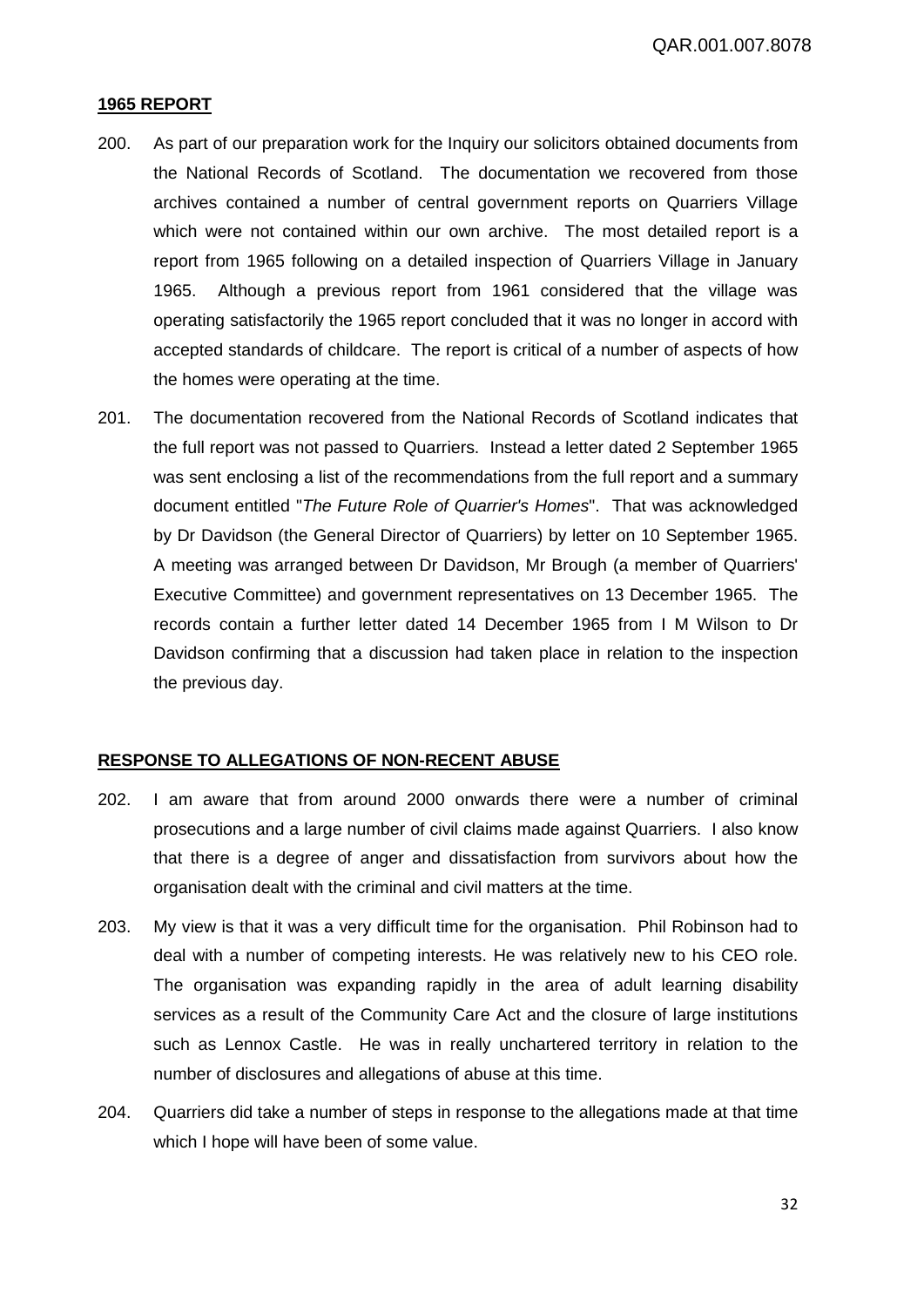#### **1965 REPORT**

- 200. As part of our preparation work for the Inquiry our solicitors obtained documents from the National Records of Scotland. The documentation we recovered from those archives contained a number of central government reports on Quarriers Village which were not contained within our own archive. The most detailed report is a report from 1965 following on a detailed inspection of Quarriers Village in January 1965. Although a previous report from 1961 considered that the village was operating satisfactorily the 1965 report concluded that it was no longer in accord with accepted standards of childcare. The report is critical of a number of aspects of how the homes were operating at the time.
- 201. The documentation recovered from the National Records of Scotland indicates that the full report was not passed to Quarriers. Instead a letter dated 2 September 1965 was sent enclosing a list of the recommendations from the full report and a summary document entitled "*The Future Role of Quarrier's Homes*". That was acknowledged by Dr Davidson (the General Director of Quarriers) by letter on 10 September 1965. A meeting was arranged between Dr Davidson, Mr Brough (a member of Quarriers' Executive Committee) and government representatives on 13 December 1965. The records contain a further letter dated 14 December 1965 from I M Wilson to Dr Davidson confirming that a discussion had taken place in relation to the inspection the previous day.

#### **RESPONSE TO ALLEGATIONS OF NON-RECENT ABUSE**

- 202. I am aware that from around 2000 onwards there were a number of criminal prosecutions and a large number of civil claims made against Quarriers. I also know that there is a degree of anger and dissatisfaction from survivors about how the organisation dealt with the criminal and civil matters at the time.
- 203. My view is that it was a very difficult time for the organisation. Phil Robinson had to deal with a number of competing interests. He was relatively new to his CEO role. The organisation was expanding rapidly in the area of adult learning disability services as a result of the Community Care Act and the closure of large institutions such as Lennox Castle. He was in really unchartered territory in relation to the number of disclosures and allegations of abuse at this time.
- 204. Quarriers did take a number of steps in response to the allegations made at that time which I hope will have been of some value.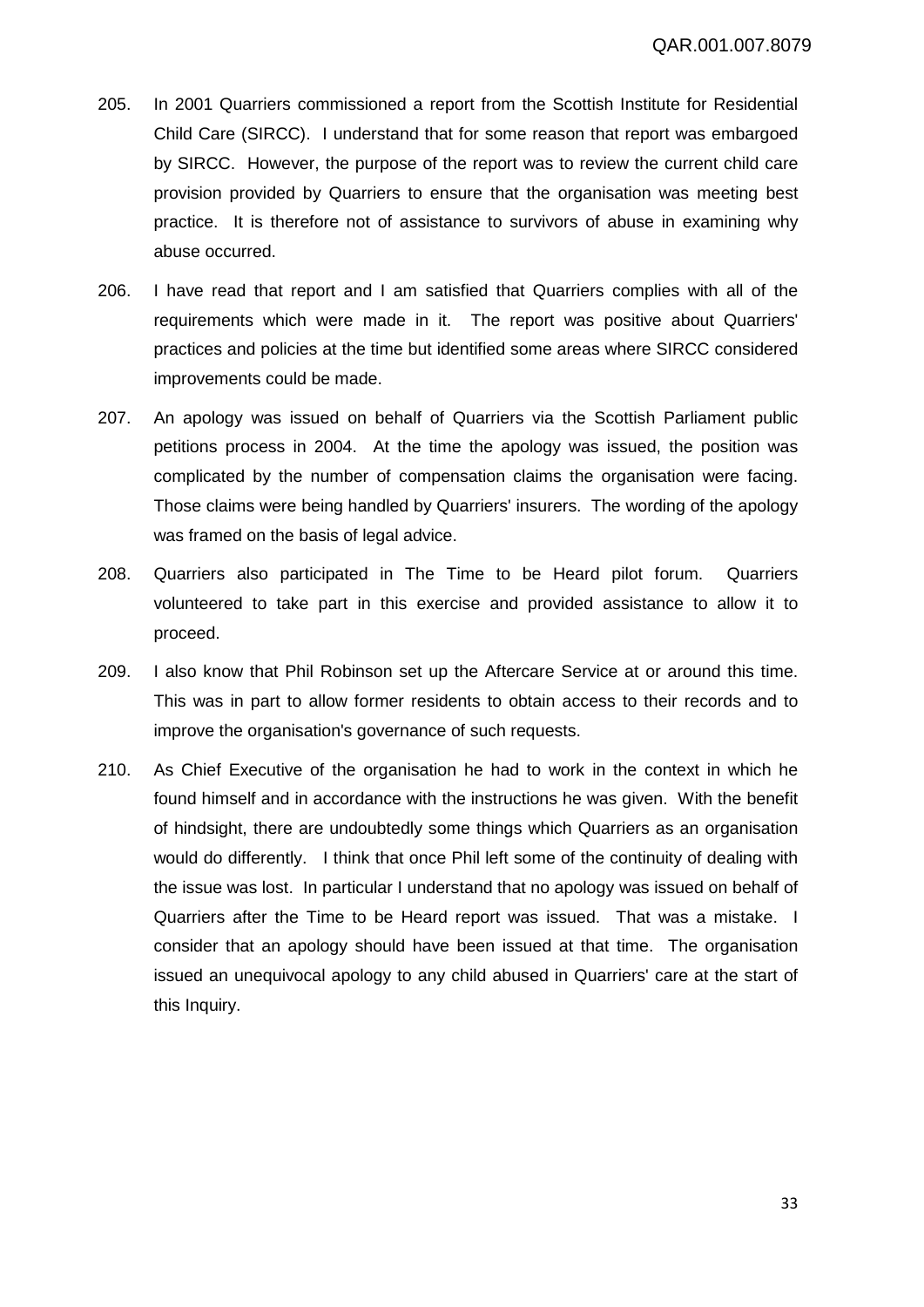- 205. In 2001 Quarriers commissioned a report from the Scottish Institute for Residential Child Care (SIRCC). I understand that for some reason that report was embargoed by SIRCC. However, the purpose of the report was to review the current child care provision provided by Quarriers to ensure that the organisation was meeting best practice. It is therefore not of assistance to survivors of abuse in examining why abuse occurred.
- 206. I have read that report and I am satisfied that Quarriers complies with all of the requirements which were made in it. The report was positive about Quarriers' practices and policies at the time but identified some areas where SIRCC considered improvements could be made.
- 207. An apology was issued on behalf of Quarriers via the Scottish Parliament public petitions process in 2004. At the time the apology was issued, the position was complicated by the number of compensation claims the organisation were facing. Those claims were being handled by Quarriers' insurers. The wording of the apology was framed on the basis of legal advice.
- 208. Quarriers also participated in The Time to be Heard pilot forum. Quarriers volunteered to take part in this exercise and provided assistance to allow it to proceed.
- 209. I also know that Phil Robinson set up the Aftercare Service at or around this time. This was in part to allow former residents to obtain access to their records and to improve the organisation's governance of such requests.
- 210. As Chief Executive of the organisation he had to work in the context in which he found himself and in accordance with the instructions he was given. With the benefit of hindsight, there are undoubtedly some things which Quarriers as an organisation would do differently. I think that once Phil left some of the continuity of dealing with the issue was lost. In particular I understand that no apology was issued on behalf of Quarriers after the Time to be Heard report was issued. That was a mistake. I consider that an apology should have been issued at that time. The organisation issued an unequivocal apology to any child abused in Quarriers' care at the start of this Inquiry.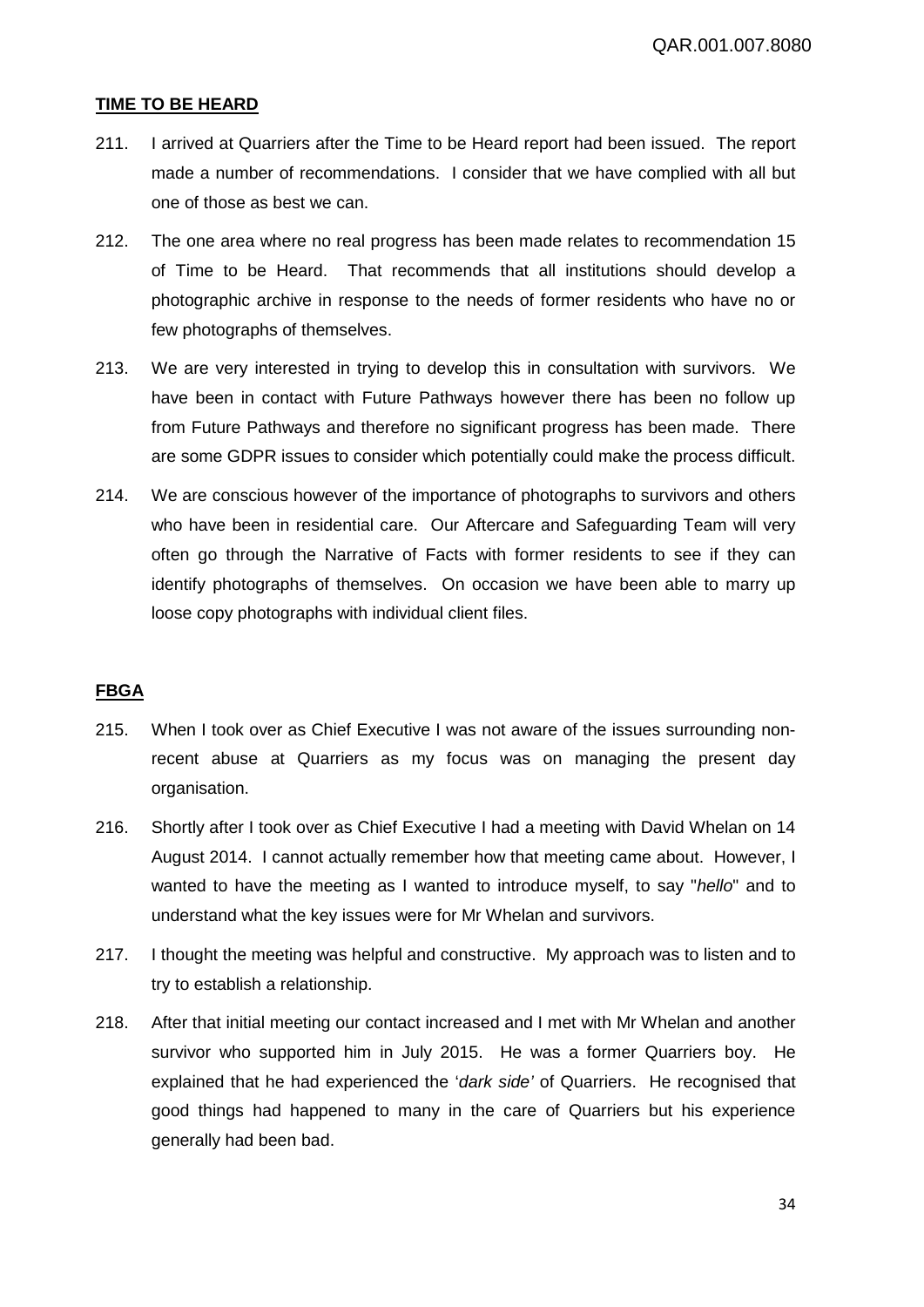#### **TIME TO BE HEARD**

- 211. I arrived at Quarriers after the Time to be Heard report had been issued. The report made a number of recommendations. I consider that we have complied with all but one of those as best we can.
- 212. The one area where no real progress has been made relates to recommendation 15 of Time to be Heard. That recommends that all institutions should develop a photographic archive in response to the needs of former residents who have no or few photographs of themselves.
- 213. We are very interested in trying to develop this in consultation with survivors. We have been in contact with Future Pathways however there has been no follow up from Future Pathways and therefore no significant progress has been made. There are some GDPR issues to consider which potentially could make the process difficult.
- 214. We are conscious however of the importance of photographs to survivors and others who have been in residential care. Our Aftercare and Safeguarding Team will very often go through the Narrative of Facts with former residents to see if they can identify photographs of themselves. On occasion we have been able to marry up loose copy photographs with individual client files.

# **FBGA**

- 215. When I took over as Chief Executive I was not aware of the issues surrounding nonrecent abuse at Quarriers as my focus was on managing the present day organisation.
- 216. Shortly after I took over as Chief Executive I had a meeting with David Whelan on 14 August 2014. I cannot actually remember how that meeting came about. However, I wanted to have the meeting as I wanted to introduce myself, to say "*hello*" and to understand what the key issues were for Mr Whelan and survivors.
- 217. I thought the meeting was helpful and constructive. My approach was to listen and to try to establish a relationship.
- 218. After that initial meeting our contact increased and I met with Mr Whelan and another survivor who supported him in July 2015. He was a former Quarriers boy. He explained that he had experienced the '*dark side'* of Quarriers. He recognised that good things had happened to many in the care of Quarriers but his experience generally had been bad.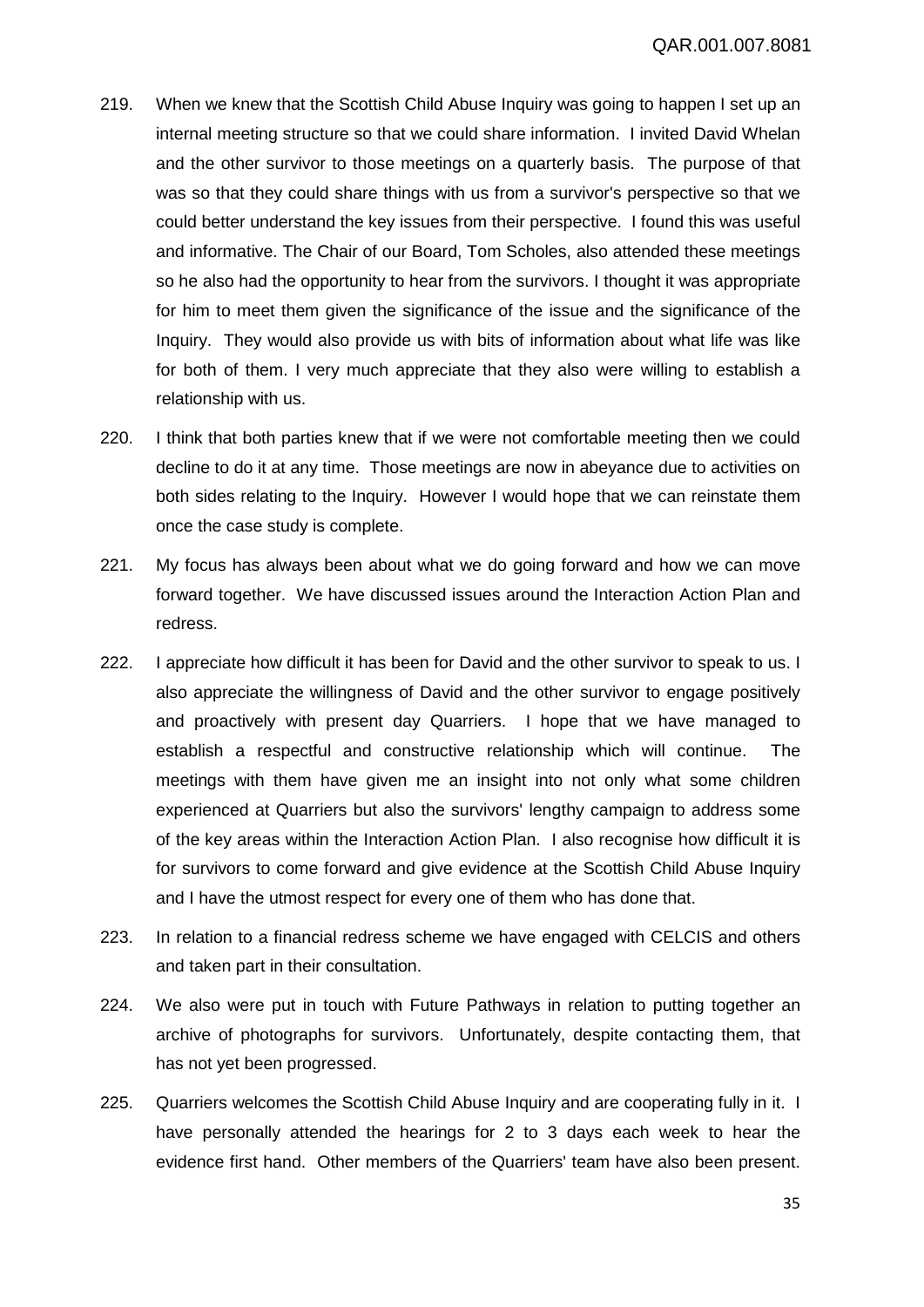- 219. When we knew that the Scottish Child Abuse Inquiry was going to happen I set up an internal meeting structure so that we could share information. I invited David Whelan and the other survivor to those meetings on a quarterly basis. The purpose of that was so that they could share things with us from a survivor's perspective so that we could better understand the key issues from their perspective. I found this was useful and informative. The Chair of our Board, Tom Scholes, also attended these meetings so he also had the opportunity to hear from the survivors. I thought it was appropriate for him to meet them given the significance of the issue and the significance of the Inquiry. They would also provide us with bits of information about what life was like for both of them. I very much appreciate that they also were willing to establish a relationship with us.
- 220. I think that both parties knew that if we were not comfortable meeting then we could decline to do it at any time. Those meetings are now in abeyance due to activities on both sides relating to the Inquiry. However I would hope that we can reinstate them once the case study is complete.
- 221. My focus has always been about what we do going forward and how we can move forward together. We have discussed issues around the Interaction Action Plan and redress.
- 222. I appreciate how difficult it has been for David and the other survivor to speak to us. I also appreciate the willingness of David and the other survivor to engage positively and proactively with present day Quarriers. I hope that we have managed to establish a respectful and constructive relationship which will continue. The meetings with them have given me an insight into not only what some children experienced at Quarriers but also the survivors' lengthy campaign to address some of the key areas within the Interaction Action Plan. I also recognise how difficult it is for survivors to come forward and give evidence at the Scottish Child Abuse Inquiry and I have the utmost respect for every one of them who has done that.
- 223. In relation to a financial redress scheme we have engaged with CELCIS and others and taken part in their consultation.
- 224. We also were put in touch with Future Pathways in relation to putting together an archive of photographs for survivors. Unfortunately, despite contacting them, that has not yet been progressed.
- 225. Quarriers welcomes the Scottish Child Abuse Inquiry and are cooperating fully in it. I have personally attended the hearings for 2 to 3 days each week to hear the evidence first hand. Other members of the Quarriers' team have also been present.